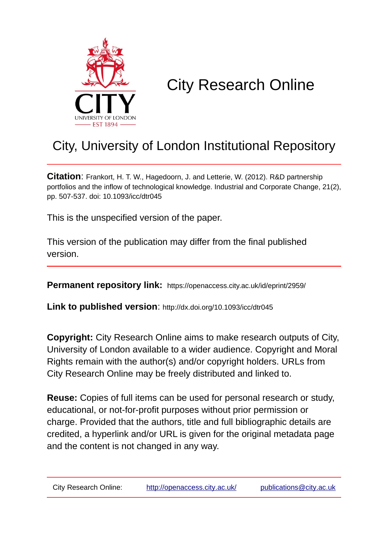

# City Research Online

# City, University of London Institutional Repository

**Citation**: Frankort, H. T. W., Hagedoorn, J. and Letterie, W. (2012). R&D partnership portfolios and the inflow of technological knowledge. Industrial and Corporate Change, 21(2), pp. 507-537. doi: 10.1093/icc/dtr045

This is the unspecified version of the paper.

This version of the publication may differ from the final published version.

**Permanent repository link:** https://openaccess.city.ac.uk/id/eprint/2959/

**Link to published version**: http://dx.doi.org/10.1093/icc/dtr045

**Copyright:** City Research Online aims to make research outputs of City, University of London available to a wider audience. Copyright and Moral Rights remain with the author(s) and/or copyright holders. URLs from City Research Online may be freely distributed and linked to.

**Reuse:** Copies of full items can be used for personal research or study, educational, or not-for-profit purposes without prior permission or charge. Provided that the authors, title and full bibliographic details are credited, a hyperlink and/or URL is given for the original metadata page and the content is not changed in any way.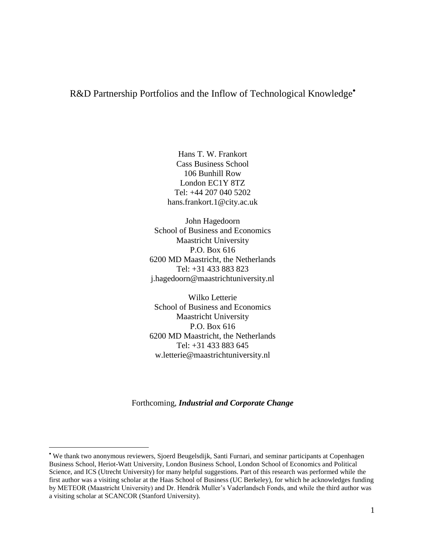# R&D Partnership Portfolios and the Inflow of Technological Knowledge<sup>•</sup>

Hans T. W. Frankort Cass Business School 106 Bunhill Row London EC1Y 8TZ Tel: +44 207 040 5202 hans.frankort.1@city.ac.uk

John Hagedoorn School of Business and Economics Maastricht University P.O. Box 616 6200 MD Maastricht, the Netherlands Tel: +31 433 883 823 j.hagedoorn@maastrichtuniversity.nl

Wilko Letterie School of Business and Economics Maastricht University P.O. Box 616 6200 MD Maastricht, the Netherlands Tel: +31 433 883 645 w.letterie@maastrichtuniversity.nl

Forthcoming, *Industrial and Corporate Change*

We thank two anonymous reviewers, Sjoerd Beugelsdijk, Santi Furnari, and seminar participants at Copenhagen Business School, Heriot-Watt University, London Business School, London School of Economics and Political Science, and ICS (Utrecht University) for many helpful suggestions. Part of this research was performed while the first author was a visiting scholar at the Haas School of Business (UC Berkeley), for which he acknowledges funding by METEOR (Maastricht University) and Dr. Hendrik Muller's Vaderlandsch Fonds, and while the third author was a visiting scholar at SCANCOR (Stanford University).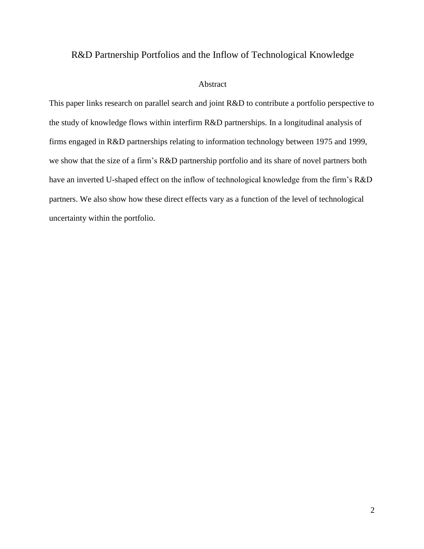# R&D Partnership Portfolios and the Inflow of Technological Knowledge

#### Abstract

This paper links research on parallel search and joint R&D to contribute a portfolio perspective to the study of knowledge flows within interfirm R&D partnerships. In a longitudinal analysis of firms engaged in R&D partnerships relating to information technology between 1975 and 1999, we show that the size of a firm's R&D partnership portfolio and its share of novel partners both have an inverted U-shaped effect on the inflow of technological knowledge from the firm's R&D partners. We also show how these direct effects vary as a function of the level of technological uncertainty within the portfolio.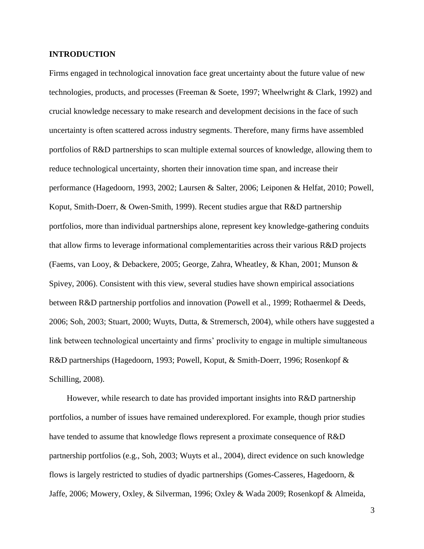#### **INTRODUCTION**

Firms engaged in technological innovation face great uncertainty about the future value of new technologies, products, and processes (Freeman & Soete, 1997; Wheelwright & Clark, 1992) and crucial knowledge necessary to make research and development decisions in the face of such uncertainty is often scattered across industry segments. Therefore, many firms have assembled portfolios of R&D partnerships to scan multiple external sources of knowledge, allowing them to reduce technological uncertainty, shorten their innovation time span, and increase their performance (Hagedoorn, 1993, 2002; Laursen & Salter, 2006; Leiponen & Helfat, 2010; Powell, Koput, Smith-Doerr, & Owen-Smith, 1999). Recent studies argue that R&D partnership portfolios, more than individual partnerships alone, represent key knowledge-gathering conduits that allow firms to leverage informational complementarities across their various R&D projects (Faems, van Looy, & Debackere, 2005; George, Zahra, Wheatley, & Khan, 2001; Munson & Spivey, 2006). Consistent with this view, several studies have shown empirical associations between R&D partnership portfolios and innovation (Powell et al., 1999; Rothaermel & Deeds, 2006; Soh, 2003; Stuart, 2000; Wuyts, Dutta, & Stremersch, 2004), while others have suggested a link between technological uncertainty and firms' proclivity to engage in multiple simultaneous R&D partnerships (Hagedoorn, 1993; Powell, Koput, & Smith-Doerr, 1996; Rosenkopf & Schilling, 2008).

However, while research to date has provided important insights into R&D partnership portfolios, a number of issues have remained underexplored. For example, though prior studies have tended to assume that knowledge flows represent a proximate consequence of R&D partnership portfolios (e.g., Soh, 2003; Wuyts et al., 2004), direct evidence on such knowledge flows is largely restricted to studies of dyadic partnerships (Gomes-Casseres, Hagedoorn, & Jaffe, 2006; Mowery, Oxley, & Silverman, 1996; Oxley & Wada 2009; Rosenkopf & Almeida,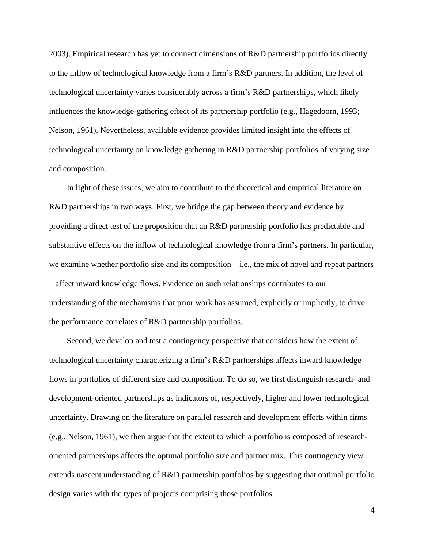2003). Empirical research has yet to connect dimensions of R&D partnership portfolios directly to the inflow of technological knowledge from a firm's R&D partners. In addition, the level of technological uncertainty varies considerably across a firm's R&D partnerships, which likely influences the knowledge-gathering effect of its partnership portfolio (e.g., Hagedoorn, 1993; Nelson, 1961). Nevertheless, available evidence provides limited insight into the effects of technological uncertainty on knowledge gathering in R&D partnership portfolios of varying size and composition.

In light of these issues, we aim to contribute to the theoretical and empirical literature on R&D partnerships in two ways. First, we bridge the gap between theory and evidence by providing a direct test of the proposition that an R&D partnership portfolio has predictable and substantive effects on the inflow of technological knowledge from a firm's partners. In particular, we examine whether portfolio size and its composition – i.e., the mix of novel and repeat partners – affect inward knowledge flows. Evidence on such relationships contributes to our understanding of the mechanisms that prior work has assumed, explicitly or implicitly, to drive the performance correlates of R&D partnership portfolios.

Second, we develop and test a contingency perspective that considers how the extent of technological uncertainty characterizing a firm's R&D partnerships affects inward knowledge flows in portfolios of different size and composition. To do so, we first distinguish research- and development-oriented partnerships as indicators of, respectively, higher and lower technological uncertainty. Drawing on the literature on parallel research and development efforts within firms (e.g., Nelson, 1961), we then argue that the extent to which a portfolio is composed of researchoriented partnerships affects the optimal portfolio size and partner mix. This contingency view extends nascent understanding of R&D partnership portfolios by suggesting that optimal portfolio design varies with the types of projects comprising those portfolios.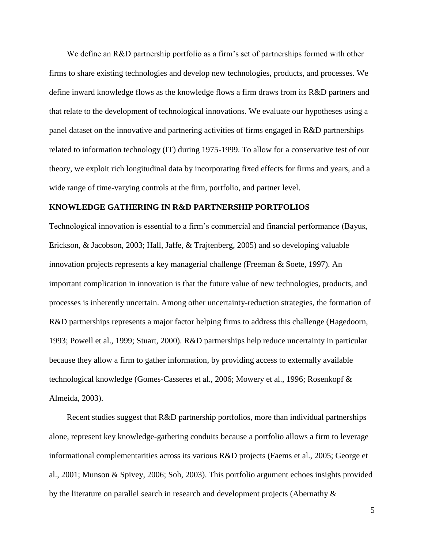We define an R&D partnership portfolio as a firm's set of partnerships formed with other firms to share existing technologies and develop new technologies, products, and processes. We define inward knowledge flows as the knowledge flows a firm draws from its R&D partners and that relate to the development of technological innovations. We evaluate our hypotheses using a panel dataset on the innovative and partnering activities of firms engaged in R&D partnerships related to information technology (IT) during 1975-1999. To allow for a conservative test of our theory, we exploit rich longitudinal data by incorporating fixed effects for firms and years, and a wide range of time-varying controls at the firm, portfolio, and partner level.

## **KNOWLEDGE GATHERING IN R&D PARTNERSHIP PORTFOLIOS**

Technological innovation is essential to a firm's commercial and financial performance (Bayus, Erickson, & Jacobson, 2003; Hall, Jaffe, & Trajtenberg, 2005) and so developing valuable innovation projects represents a key managerial challenge (Freeman & Soete, 1997). An important complication in innovation is that the future value of new technologies, products, and processes is inherently uncertain. Among other uncertainty-reduction strategies, the formation of R&D partnerships represents a major factor helping firms to address this challenge (Hagedoorn, 1993; Powell et al., 1999; Stuart, 2000). R&D partnerships help reduce uncertainty in particular because they allow a firm to gather information, by providing access to externally available technological knowledge (Gomes-Casseres et al., 2006; Mowery et al., 1996; Rosenkopf & Almeida, 2003).

Recent studies suggest that R&D partnership portfolios, more than individual partnerships alone, represent key knowledge-gathering conduits because a portfolio allows a firm to leverage informational complementarities across its various R&D projects (Faems et al., 2005; George et al., 2001; Munson & Spivey, 2006; Soh, 2003). This portfolio argument echoes insights provided by the literature on parallel search in research and development projects (Abernathy &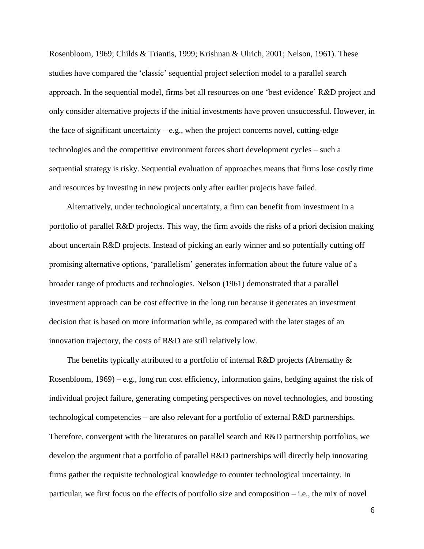Rosenbloom, 1969; Childs & Triantis, 1999; Krishnan & Ulrich, 2001; Nelson, 1961). These studies have compared the 'classic' sequential project selection model to a parallel search approach. In the sequential model, firms bet all resources on one 'best evidence' R&D project and only consider alternative projects if the initial investments have proven unsuccessful. However, in the face of significant uncertainty  $-e.g.,$  when the project concerns novel, cutting-edge technologies and the competitive environment forces short development cycles – such a sequential strategy is risky. Sequential evaluation of approaches means that firms lose costly time and resources by investing in new projects only after earlier projects have failed.

Alternatively, under technological uncertainty, a firm can benefit from investment in a portfolio of parallel R&D projects. This way, the firm avoids the risks of a priori decision making about uncertain R&D projects. Instead of picking an early winner and so potentially cutting off promising alternative options, 'parallelism' generates information about the future value of a broader range of products and technologies. Nelson (1961) demonstrated that a parallel investment approach can be cost effective in the long run because it generates an investment decision that is based on more information while, as compared with the later stages of an innovation trajectory, the costs of R&D are still relatively low.

The benefits typically attributed to a portfolio of internal R&D projects (Abernathy & Rosenbloom, 1969) – e.g., long run cost efficiency, information gains, hedging against the risk of individual project failure, generating competing perspectives on novel technologies, and boosting technological competencies – are also relevant for a portfolio of external R&D partnerships. Therefore, convergent with the literatures on parallel search and R&D partnership portfolios, we develop the argument that a portfolio of parallel R&D partnerships will directly help innovating firms gather the requisite technological knowledge to counter technological uncertainty. In particular, we first focus on the effects of portfolio size and composition – i.e., the mix of novel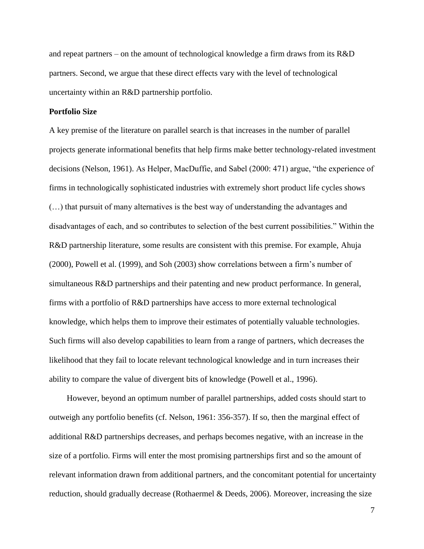and repeat partners – on the amount of technological knowledge a firm draws from its R&D partners. Second, we argue that these direct effects vary with the level of technological uncertainty within an R&D partnership portfolio.

## **Portfolio Size**

A key premise of the literature on parallel search is that increases in the number of parallel projects generate informational benefits that help firms make better technology-related investment decisions (Nelson, 1961). As Helper, MacDuffie, and Sabel (2000: 471) argue, "the experience of firms in technologically sophisticated industries with extremely short product life cycles shows (…) that pursuit of many alternatives is the best way of understanding the advantages and disadvantages of each, and so contributes to selection of the best current possibilities." Within the R&D partnership literature, some results are consistent with this premise. For example, Ahuja (2000), Powell et al. (1999), and Soh (2003) show correlations between a firm's number of simultaneous R&D partnerships and their patenting and new product performance. In general, firms with a portfolio of R&D partnerships have access to more external technological knowledge, which helps them to improve their estimates of potentially valuable technologies. Such firms will also develop capabilities to learn from a range of partners, which decreases the likelihood that they fail to locate relevant technological knowledge and in turn increases their ability to compare the value of divergent bits of knowledge (Powell et al., 1996).

However, beyond an optimum number of parallel partnerships, added costs should start to outweigh any portfolio benefits (cf. Nelson, 1961: 356-357). If so, then the marginal effect of additional R&D partnerships decreases, and perhaps becomes negative, with an increase in the size of a portfolio. Firms will enter the most promising partnerships first and so the amount of relevant information drawn from additional partners, and the concomitant potential for uncertainty reduction, should gradually decrease (Rothaermel  $\&$  Deeds, 2006). Moreover, increasing the size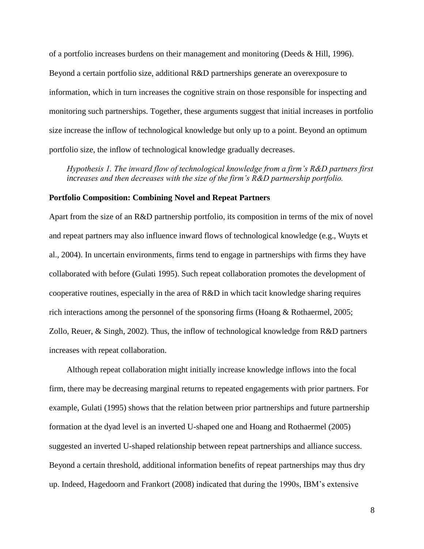of a portfolio increases burdens on their management and monitoring (Deeds & Hill, 1996). Beyond a certain portfolio size, additional R&D partnerships generate an overexposure to information, which in turn increases the cognitive strain on those responsible for inspecting and monitoring such partnerships. Together, these arguments suggest that initial increases in portfolio size increase the inflow of technological knowledge but only up to a point. Beyond an optimum portfolio size, the inflow of technological knowledge gradually decreases.

*Hypothesis 1. The inward flow of technological knowledge from a firm's R&D partners first increases and then decreases with the size of the firm's R&D partnership portfolio.*

## **Portfolio Composition: Combining Novel and Repeat Partners**

Apart from the size of an R&D partnership portfolio, its composition in terms of the mix of novel and repeat partners may also influence inward flows of technological knowledge (e.g., Wuyts et al., 2004). In uncertain environments, firms tend to engage in partnerships with firms they have collaborated with before (Gulati 1995). Such repeat collaboration promotes the development of cooperative routines, especially in the area of R&D in which tacit knowledge sharing requires rich interactions among the personnel of the sponsoring firms (Hoang & Rothaermel, 2005; Zollo, Reuer, & Singh, 2002). Thus, the inflow of technological knowledge from R&D partners increases with repeat collaboration.

Although repeat collaboration might initially increase knowledge inflows into the focal firm, there may be decreasing marginal returns to repeated engagements with prior partners. For example, Gulati (1995) shows that the relation between prior partnerships and future partnership formation at the dyad level is an inverted U-shaped one and Hoang and Rothaermel (2005) suggested an inverted U-shaped relationship between repeat partnerships and alliance success. Beyond a certain threshold, additional information benefits of repeat partnerships may thus dry up. Indeed, Hagedoorn and Frankort (2008) indicated that during the 1990s, IBM's extensive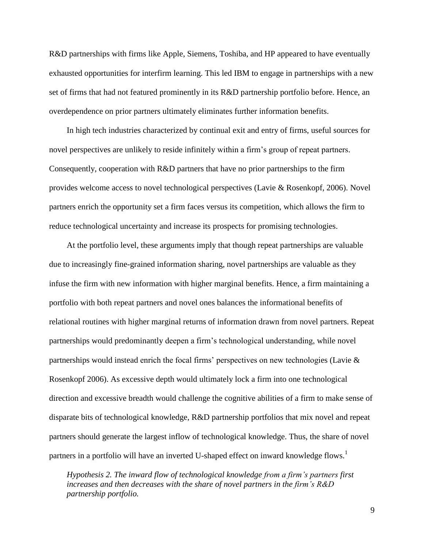R&D partnerships with firms like Apple, Siemens, Toshiba, and HP appeared to have eventually exhausted opportunities for interfirm learning. This led IBM to engage in partnerships with a new set of firms that had not featured prominently in its R&D partnership portfolio before. Hence, an overdependence on prior partners ultimately eliminates further information benefits.

In high tech industries characterized by continual exit and entry of firms, useful sources for novel perspectives are unlikely to reside infinitely within a firm's group of repeat partners. Consequently, cooperation with R&D partners that have no prior partnerships to the firm provides welcome access to novel technological perspectives (Lavie & Rosenkopf, 2006). Novel partners enrich the opportunity set a firm faces versus its competition, which allows the firm to reduce technological uncertainty and increase its prospects for promising technologies.

At the portfolio level, these arguments imply that though repeat partnerships are valuable due to increasingly fine-grained information sharing, novel partnerships are valuable as they infuse the firm with new information with higher marginal benefits. Hence, a firm maintaining a portfolio with both repeat partners and novel ones balances the informational benefits of relational routines with higher marginal returns of information drawn from novel partners. Repeat partnerships would predominantly deepen a firm's technological understanding, while novel partnerships would instead enrich the focal firms' perspectives on new technologies (Lavie & Rosenkopf 2006). As excessive depth would ultimately lock a firm into one technological direction and excessive breadth would challenge the cognitive abilities of a firm to make sense of disparate bits of technological knowledge, R&D partnership portfolios that mix novel and repeat partners should generate the largest inflow of technological knowledge. Thus, the share of novel partners in a portfolio will have an inverted U-shaped effect on inward knowledge flows.<sup>1</sup>

*Hypothesis 2. The inward flow of technological knowledge from a firm's partners first increases and then decreases with the share of novel partners in the firm's R&D partnership portfolio.*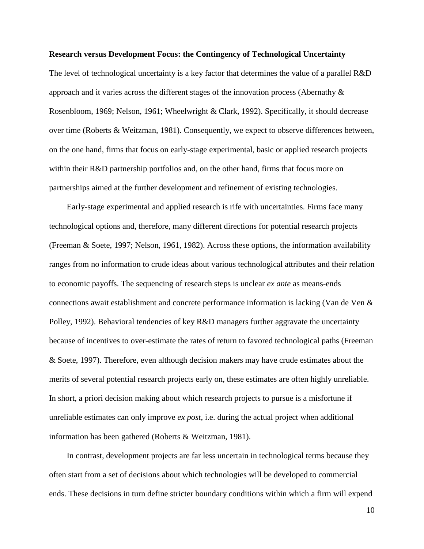#### **Research versus Development Focus: the Contingency of Technological Uncertainty**

The level of technological uncertainty is a key factor that determines the value of a parallel R&D approach and it varies across the different stages of the innovation process (Abernathy & Rosenbloom, 1969; Nelson, 1961; Wheelwright & Clark, 1992). Specifically, it should decrease over time (Roberts & Weitzman, 1981). Consequently, we expect to observe differences between, on the one hand, firms that focus on early-stage experimental, basic or applied research projects within their R&D partnership portfolios and, on the other hand, firms that focus more on partnerships aimed at the further development and refinement of existing technologies.

Early-stage experimental and applied research is rife with uncertainties. Firms face many technological options and, therefore, many different directions for potential research projects (Freeman & Soete, 1997; Nelson, 1961, 1982). Across these options, the information availability ranges from no information to crude ideas about various technological attributes and their relation to economic payoffs. The sequencing of research steps is unclear *ex ante* as means-ends connections await establishment and concrete performance information is lacking (Van de Ven & Polley, 1992). Behavioral tendencies of key R&D managers further aggravate the uncertainty because of incentives to over-estimate the rates of return to favored technological paths (Freeman & Soete, 1997). Therefore, even although decision makers may have crude estimates about the merits of several potential research projects early on, these estimates are often highly unreliable. In short, a priori decision making about which research projects to pursue is a misfortune if unreliable estimates can only improve *ex post*, i.e. during the actual project when additional information has been gathered (Roberts & Weitzman, 1981).

In contrast, development projects are far less uncertain in technological terms because they often start from a set of decisions about which technologies will be developed to commercial ends. These decisions in turn define stricter boundary conditions within which a firm will expend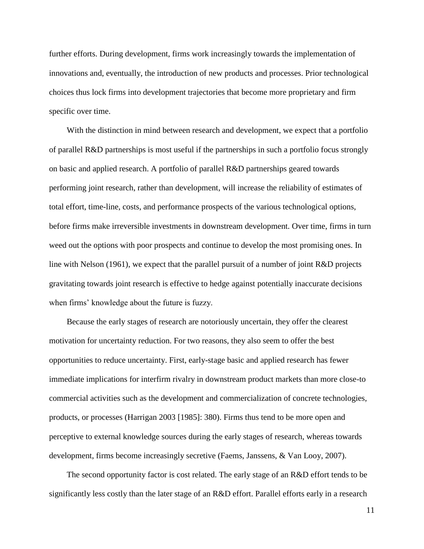further efforts. During development, firms work increasingly towards the implementation of innovations and, eventually, the introduction of new products and processes. Prior technological choices thus lock firms into development trajectories that become more proprietary and firm specific over time.

With the distinction in mind between research and development, we expect that a portfolio of parallel R&D partnerships is most useful if the partnerships in such a portfolio focus strongly on basic and applied research. A portfolio of parallel R&D partnerships geared towards performing joint research, rather than development, will increase the reliability of estimates of total effort, time-line, costs, and performance prospects of the various technological options, before firms make irreversible investments in downstream development. Over time, firms in turn weed out the options with poor prospects and continue to develop the most promising ones. In line with Nelson (1961), we expect that the parallel pursuit of a number of joint R&D projects gravitating towards joint research is effective to hedge against potentially inaccurate decisions when firms' knowledge about the future is fuzzy.

Because the early stages of research are notoriously uncertain, they offer the clearest motivation for uncertainty reduction. For two reasons, they also seem to offer the best opportunities to reduce uncertainty. First, early-stage basic and applied research has fewer immediate implications for interfirm rivalry in downstream product markets than more close-to commercial activities such as the development and commercialization of concrete technologies, products, or processes (Harrigan 2003 [1985]: 380). Firms thus tend to be more open and perceptive to external knowledge sources during the early stages of research, whereas towards development, firms become increasingly secretive (Faems, Janssens, & Van Looy, 2007).

The second opportunity factor is cost related. The early stage of an R&D effort tends to be significantly less costly than the later stage of an R&D effort. Parallel efforts early in a research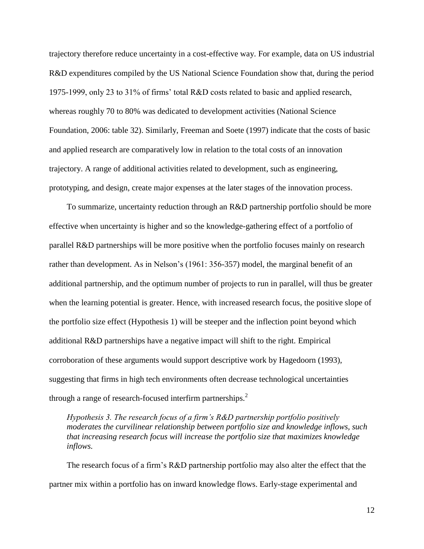trajectory therefore reduce uncertainty in a cost-effective way. For example, data on US industrial R&D expenditures compiled by the US National Science Foundation show that, during the period 1975-1999, only 23 to 31% of firms' total R&D costs related to basic and applied research, whereas roughly 70 to 80% was dedicated to development activities (National Science Foundation, 2006: table 32). Similarly, Freeman and Soete (1997) indicate that the costs of basic and applied research are comparatively low in relation to the total costs of an innovation trajectory. A range of additional activities related to development, such as engineering, prototyping, and design, create major expenses at the later stages of the innovation process.

To summarize, uncertainty reduction through an R&D partnership portfolio should be more effective when uncertainty is higher and so the knowledge-gathering effect of a portfolio of parallel R&D partnerships will be more positive when the portfolio focuses mainly on research rather than development. As in Nelson's (1961: 356-357) model, the marginal benefit of an additional partnership, and the optimum number of projects to run in parallel, will thus be greater when the learning potential is greater. Hence, with increased research focus, the positive slope of the portfolio size effect (Hypothesis 1) will be steeper and the inflection point beyond which additional R&D partnerships have a negative impact will shift to the right. Empirical corroboration of these arguments would support descriptive work by Hagedoorn (1993), suggesting that firms in high tech environments often decrease technological uncertainties through a range of research-focused interfirm partnerships. $<sup>2</sup>$ </sup>

*Hypothesis 3. The research focus of a firm's R&D partnership portfolio positively moderates the curvilinear relationship between portfolio size and knowledge inflows, such that increasing research focus will increase the portfolio size that maximizes knowledge inflows.*

The research focus of a firm's R&D partnership portfolio may also alter the effect that the partner mix within a portfolio has on inward knowledge flows. Early-stage experimental and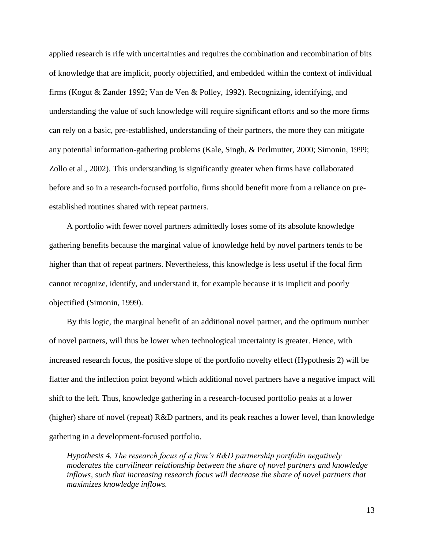applied research is rife with uncertainties and requires the combination and recombination of bits of knowledge that are implicit, poorly objectified, and embedded within the context of individual firms (Kogut & Zander 1992; Van de Ven & Polley, 1992). Recognizing, identifying, and understanding the value of such knowledge will require significant efforts and so the more firms can rely on a basic, pre-established, understanding of their partners, the more they can mitigate any potential information-gathering problems (Kale, Singh, & Perlmutter, 2000; Simonin, 1999; Zollo et al., 2002). This understanding is significantly greater when firms have collaborated before and so in a research-focused portfolio, firms should benefit more from a reliance on preestablished routines shared with repeat partners.

A portfolio with fewer novel partners admittedly loses some of its absolute knowledge gathering benefits because the marginal value of knowledge held by novel partners tends to be higher than that of repeat partners. Nevertheless, this knowledge is less useful if the focal firm cannot recognize, identify, and understand it, for example because it is implicit and poorly objectified (Simonin, 1999).

By this logic, the marginal benefit of an additional novel partner, and the optimum number of novel partners, will thus be lower when technological uncertainty is greater. Hence, with increased research focus, the positive slope of the portfolio novelty effect (Hypothesis 2) will be flatter and the inflection point beyond which additional novel partners have a negative impact will shift to the left. Thus, knowledge gathering in a research-focused portfolio peaks at a lower (higher) share of novel (repeat) R&D partners, and its peak reaches a lower level, than knowledge gathering in a development-focused portfolio.

*Hypothesis 4. The research focus of a firm's R&D partnership portfolio negatively moderates the curvilinear relationship between the share of novel partners and knowledge inflows, such that increasing research focus will decrease the share of novel partners that maximizes knowledge inflows.*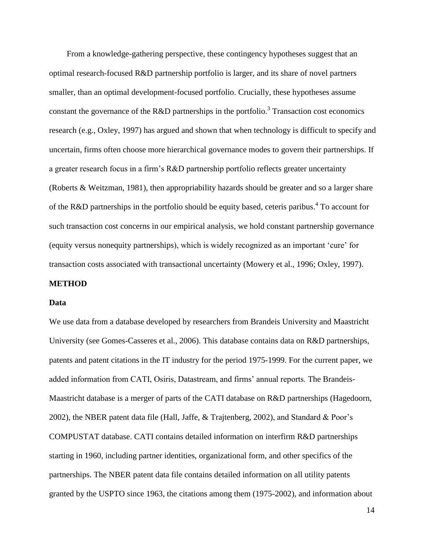From a knowledge-gathering perspective, these contingency hypotheses suggest that an optimal research-focused R&D partnership portfolio is larger, and its share of novel partners smaller, than an optimal development-focused portfolio. Crucially, these hypotheses assume constant the governance of the R&D partnerships in the portfolio.<sup>3</sup> Transaction cost economics research (e.g., Oxley, 1997) has argued and shown that when technology is difficult to specify and uncertain, firms often choose more hierarchical governance modes to govern their partnerships. If a greater research focus in a firm's R&D partnership portfolio reflects greater uncertainty (Roberts & Weitzman, 1981), then appropriability hazards should be greater and so a larger share of the R&D partnerships in the portfolio should be equity based, ceteris paribus.<sup>4</sup> To account for such transaction cost concerns in our empirical analysis, we hold constant partnership governance (equity versus nonequity partnerships), which is widely recognized as an important 'cure' for transaction costs associated with transactional uncertainty (Mowery et al., 1996; Oxley, 1997).

#### **METHOD**

#### **Data**

We use data from a database developed by researchers from Brandeis University and Maastricht University (see Gomes-Casseres et al., 2006). This database contains data on R&D partnerships, patents and patent citations in the IT industry for the period 1975-1999. For the current paper, we added information from CATI, Osiris, Datastream, and firms' annual reports. The Brandeis-Maastricht database is a merger of parts of the CATI database on R&D partnerships (Hagedoorn, 2002), the NBER patent data file (Hall, Jaffe, & Trajtenberg, 2002), and Standard & Poor's COMPUSTAT database. CATI contains detailed information on interfirm R&D partnerships starting in 1960, including partner identities, organizational form, and other specifics of the partnerships. The NBER patent data file contains detailed information on all utility patents granted by the USPTO since 1963, the citations among them (1975-2002), and information about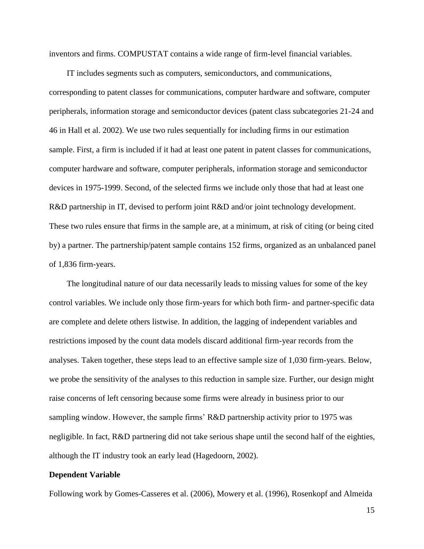inventors and firms. COMPUSTAT contains a wide range of firm-level financial variables.

IT includes segments such as computers, semiconductors, and communications, corresponding to patent classes for communications, computer hardware and software, computer peripherals, information storage and semiconductor devices (patent class subcategories 21-24 and 46 in Hall et al. 2002). We use two rules sequentially for including firms in our estimation sample. First, a firm is included if it had at least one patent in patent classes for communications, computer hardware and software, computer peripherals, information storage and semiconductor devices in 1975-1999. Second, of the selected firms we include only those that had at least one R&D partnership in IT, devised to perform joint R&D and/or joint technology development. These two rules ensure that firms in the sample are, at a minimum, at risk of citing (or being cited by) a partner. The partnership/patent sample contains 152 firms, organized as an unbalanced panel of 1,836 firm-years.

The longitudinal nature of our data necessarily leads to missing values for some of the key control variables. We include only those firm-years for which both firm- and partner-specific data are complete and delete others listwise. In addition, the lagging of independent variables and restrictions imposed by the count data models discard additional firm-year records from the analyses. Taken together, these steps lead to an effective sample size of 1,030 firm-years. Below, we probe the sensitivity of the analyses to this reduction in sample size. Further, our design might raise concerns of left censoring because some firms were already in business prior to our sampling window. However, the sample firms' R&D partnership activity prior to 1975 was negligible. In fact, R&D partnering did not take serious shape until the second half of the eighties, although the IT industry took an early lead (Hagedoorn, 2002).

#### **Dependent Variable**

Following work by Gomes-Casseres et al. (2006), Mowery et al. (1996), Rosenkopf and Almeida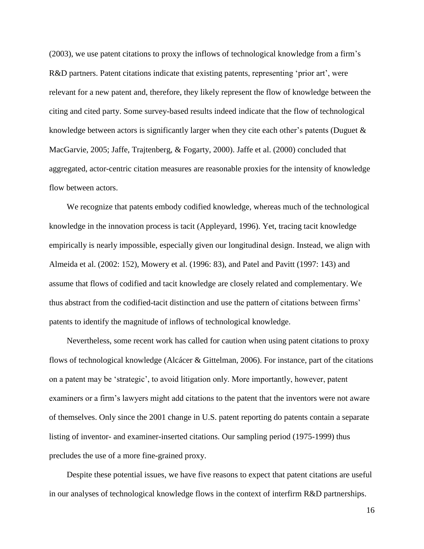(2003), we use patent citations to proxy the inflows of technological knowledge from a firm's R&D partners. Patent citations indicate that existing patents, representing 'prior art', were relevant for a new patent and, therefore, they likely represent the flow of knowledge between the citing and cited party. Some survey-based results indeed indicate that the flow of technological knowledge between actors is significantly larger when they cite each other's patents (Duguet  $\&$ MacGarvie, 2005; Jaffe, Trajtenberg, & Fogarty, 2000). Jaffe et al. (2000) concluded that aggregated, actor-centric citation measures are reasonable proxies for the intensity of knowledge flow between actors.

We recognize that patents embody codified knowledge, whereas much of the technological knowledge in the innovation process is tacit (Appleyard, 1996). Yet, tracing tacit knowledge empirically is nearly impossible, especially given our longitudinal design. Instead, we align with Almeida et al. (2002: 152), Mowery et al. (1996: 83), and Patel and Pavitt (1997: 143) and assume that flows of codified and tacit knowledge are closely related and complementary. We thus abstract from the codified-tacit distinction and use the pattern of citations between firms' patents to identify the magnitude of inflows of technological knowledge.

Nevertheless, some recent work has called for caution when using patent citations to proxy flows of technological knowledge (Alcácer & Gittelman, 2006). For instance, part of the citations on a patent may be 'strategic', to avoid litigation only. More importantly, however, patent examiners or a firm's lawyers might add citations to the patent that the inventors were not aware of themselves. Only since the 2001 change in U.S. patent reporting do patents contain a separate listing of inventor- and examiner-inserted citations. Our sampling period (1975-1999) thus precludes the use of a more fine-grained proxy.

Despite these potential issues, we have five reasons to expect that patent citations are useful in our analyses of technological knowledge flows in the context of interfirm R&D partnerships.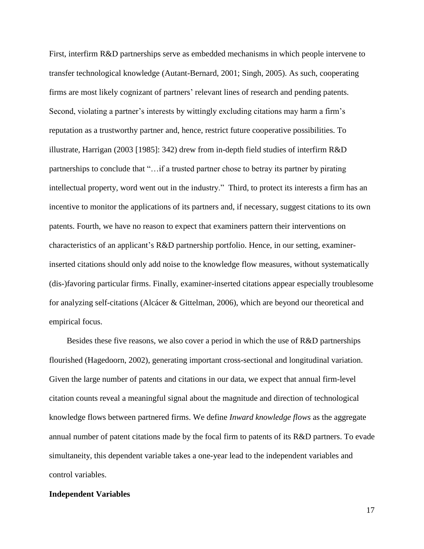First, interfirm R&D partnerships serve as embedded mechanisms in which people intervene to transfer technological knowledge (Autant-Bernard, 2001; Singh, 2005). As such, cooperating firms are most likely cognizant of partners' relevant lines of research and pending patents. Second, violating a partner's interests by wittingly excluding citations may harm a firm's reputation as a trustworthy partner and, hence, restrict future cooperative possibilities. To illustrate, Harrigan (2003 [1985]: 342) drew from in-depth field studies of interfirm R&D partnerships to conclude that "…if a trusted partner chose to betray its partner by pirating intellectual property, word went out in the industry." Third, to protect its interests a firm has an incentive to monitor the applications of its partners and, if necessary, suggest citations to its own patents. Fourth, we have no reason to expect that examiners pattern their interventions on characteristics of an applicant's R&D partnership portfolio. Hence, in our setting, examinerinserted citations should only add noise to the knowledge flow measures, without systematically (dis-)favoring particular firms. Finally, examiner-inserted citations appear especially troublesome for analyzing self-citations (Alcácer & Gittelman, 2006), which are beyond our theoretical and empirical focus.

Besides these five reasons, we also cover a period in which the use of R&D partnerships flourished (Hagedoorn, 2002), generating important cross-sectional and longitudinal variation. Given the large number of patents and citations in our data, we expect that annual firm-level citation counts reveal a meaningful signal about the magnitude and direction of technological knowledge flows between partnered firms. We define *Inward knowledge flows* as the aggregate annual number of patent citations made by the focal firm to patents of its R&D partners. To evade simultaneity, this dependent variable takes a one-year lead to the independent variables and control variables.

#### **Independent Variables**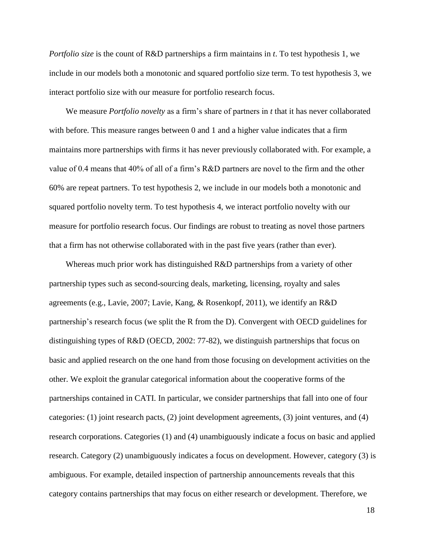*Portfolio size* is the count of R&D partnerships a firm maintains in *t*. To test hypothesis 1, we include in our models both a monotonic and squared portfolio size term. To test hypothesis 3, we interact portfolio size with our measure for portfolio research focus.

We measure *Portfolio novelty* as a firm's share of partners in *t* that it has never collaborated with before. This measure ranges between 0 and 1 and a higher value indicates that a firm maintains more partnerships with firms it has never previously collaborated with. For example, a value of 0.4 means that 40% of all of a firm's R&D partners are novel to the firm and the other 60% are repeat partners. To test hypothesis 2, we include in our models both a monotonic and squared portfolio novelty term. To test hypothesis 4, we interact portfolio novelty with our measure for portfolio research focus. Our findings are robust to treating as novel those partners that a firm has not otherwise collaborated with in the past five years (rather than ever).

Whereas much prior work has distinguished R&D partnerships from a variety of other partnership types such as second-sourcing deals, marketing, licensing, royalty and sales agreements (e.g., Lavie, 2007; Lavie, Kang, & Rosenkopf, 2011), we identify an R&D partnership's research focus (we split the R from the D). Convergent with OECD guidelines for distinguishing types of R&D (OECD, 2002: 77-82), we distinguish partnerships that focus on basic and applied research on the one hand from those focusing on development activities on the other. We exploit the granular categorical information about the cooperative forms of the partnerships contained in CATI. In particular, we consider partnerships that fall into one of four categories: (1) joint research pacts, (2) joint development agreements, (3) joint ventures, and (4) research corporations. Categories (1) and (4) unambiguously indicate a focus on basic and applied research. Category (2) unambiguously indicates a focus on development. However, category (3) is ambiguous. For example, detailed inspection of partnership announcements reveals that this category contains partnerships that may focus on either research or development. Therefore, we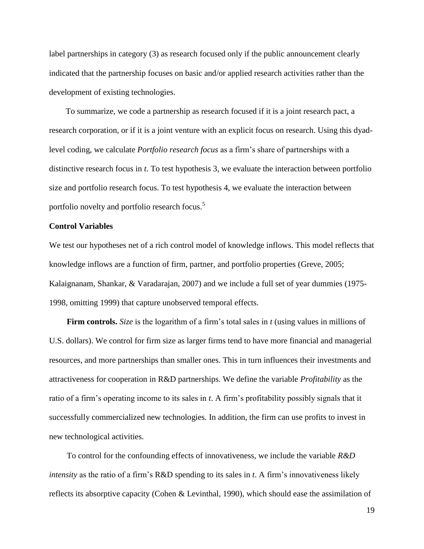label partnerships in category (3) as research focused only if the public announcement clearly indicated that the partnership focuses on basic and/or applied research activities rather than the development of existing technologies.

To summarize, we code a partnership as research focused if it is a joint research pact, a research corporation, or if it is a joint venture with an explicit focus on research. Using this dyadlevel coding, we calculate *Portfolio research focus* as a firm's share of partnerships with a distinctive research focus in *t*. To test hypothesis 3, we evaluate the interaction between portfolio size and portfolio research focus. To test hypothesis 4, we evaluate the interaction between portfolio novelty and portfolio research focus.<sup>5</sup>

## **Control Variables**

We test our hypotheses net of a rich control model of knowledge inflows. This model reflects that knowledge inflows are a function of firm, partner, and portfolio properties (Greve, 2005; Kalaignanam, Shankar, & Varadarajan, 2007) and we include a full set of year dummies (1975- 1998, omitting 1999) that capture unobserved temporal effects.

**Firm controls.** *Size* is the logarithm of a firm's total sales in *t* (using values in millions of U.S. dollars). We control for firm size as larger firms tend to have more financial and managerial resources, and more partnerships than smaller ones. This in turn influences their investments and attractiveness for cooperation in R&D partnerships. We define the variable *Profitability* as the ratio of a firm's operating income to its sales in *t*. A firm's profitability possibly signals that it successfully commercialized new technologies. In addition, the firm can use profits to invest in new technological activities.

To control for the confounding effects of innovativeness, we include the variable *R&D intensity* as the ratio of a firm's R&D spending to its sales in *t*. A firm's innovativeness likely reflects its absorptive capacity (Cohen & Levinthal, 1990), which should ease the assimilation of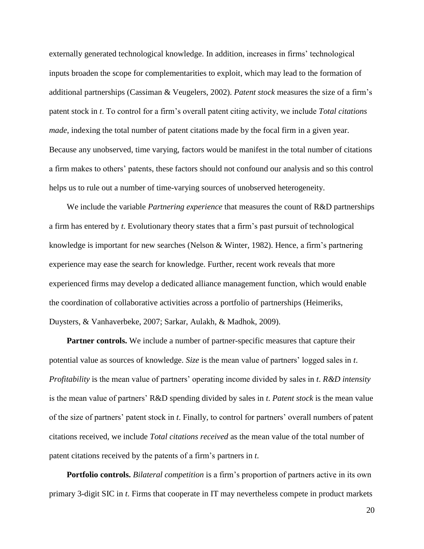externally generated technological knowledge. In addition, increases in firms' technological inputs broaden the scope for complementarities to exploit, which may lead to the formation of additional partnerships (Cassiman & Veugelers, 2002). *Patent stock* measures the size of a firm's patent stock in *t*. To control for a firm's overall patent citing activity, we include *Total citations made*, indexing the total number of patent citations made by the focal firm in a given year. Because any unobserved, time varying, factors would be manifest in the total number of citations a firm makes to others' patents, these factors should not confound our analysis and so this control helps us to rule out a number of time-varying sources of unobserved heterogeneity.

We include the variable *Partnering experience* that measures the count of R&D partnerships a firm has entered by *t*. Evolutionary theory states that a firm's past pursuit of technological knowledge is important for new searches (Nelson & Winter, 1982). Hence, a firm's partnering experience may ease the search for knowledge. Further, recent work reveals that more experienced firms may develop a dedicated alliance management function, which would enable the coordination of collaborative activities across a portfolio of partnerships (Heimeriks, Duysters, & Vanhaverbeke, 2007; Sarkar, Aulakh, & Madhok, 2009).

**Partner controls.** We include a number of partner-specific measures that capture their potential value as sources of knowledge. *Size* is the mean value of partners' logged sales in *t*. *Profitability* is the mean value of partners' operating income divided by sales in *t*. *R&D intensity* is the mean value of partners' R&D spending divided by sales in *t*. *Patent stock* is the mean value of the size of partners' patent stock in *t*. Finally, to control for partners' overall numbers of patent citations received, we include *Total citations received* as the mean value of the total number of patent citations received by the patents of a firm's partners in *t*.

**Portfolio controls.** *Bilateral competition* is a firm's proportion of partners active in its own primary 3-digit SIC in *t*. Firms that cooperate in IT may nevertheless compete in product markets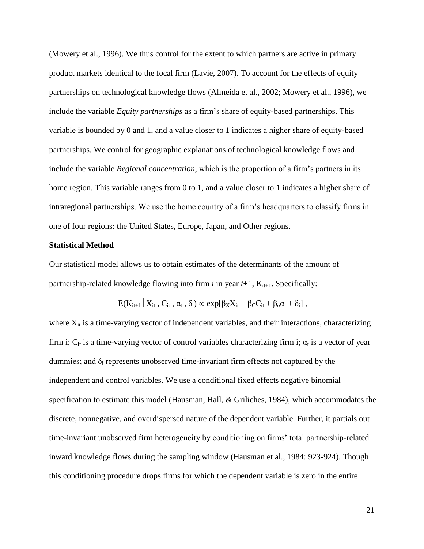(Mowery et al., 1996). We thus control for the extent to which partners are active in primary product markets identical to the focal firm (Lavie, 2007). To account for the effects of equity partnerships on technological knowledge flows (Almeida et al., 2002; Mowery et al., 1996), we include the variable *Equity partnerships* as a firm's share of equity-based partnerships. This variable is bounded by 0 and 1, and a value closer to 1 indicates a higher share of equity-based partnerships. We control for geographic explanations of technological knowledge flows and include the variable *Regional concentration*, which is the proportion of a firm's partners in its home region. This variable ranges from 0 to 1, and a value closer to 1 indicates a higher share of intraregional partnerships. We use the home country of a firm's headquarters to classify firms in one of four regions: the United States, Europe, Japan, and Other regions.

#### **Statistical Method**

Our statistical model allows us to obtain estimates of the determinants of the amount of partnership-related knowledge flowing into firm  $i$  in year  $t+1$ ,  $K_{it+1}$ . Specifically:

$$
E(K_{it+1} | X_{it}, C_{it}, \alpha_t, \delta_i) \propto exp[\beta_X X_{it} + \beta_C C_{it} + \beta_\alpha \alpha_t + \delta_i],
$$

where  $X_{it}$  is a time-varying vector of independent variables, and their interactions, characterizing firm i;  $C_{it}$  is a time-varying vector of control variables characterizing firm i;  $\alpha_t$  is a vector of year dummies; and  $\delta_i$  represents unobserved time-invariant firm effects not captured by the independent and control variables. We use a conditional fixed effects negative binomial specification to estimate this model (Hausman, Hall, & Griliches, 1984), which accommodates the discrete, nonnegative, and overdispersed nature of the dependent variable. Further, it partials out time-invariant unobserved firm heterogeneity by conditioning on firms' total partnership-related inward knowledge flows during the sampling window (Hausman et al., 1984: 923-924). Though this conditioning procedure drops firms for which the dependent variable is zero in the entire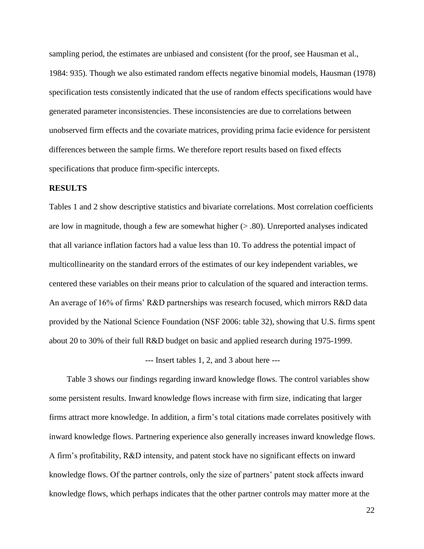sampling period, the estimates are unbiased and consistent (for the proof, see Hausman et al., 1984: 935). Though we also estimated random effects negative binomial models, Hausman (1978) specification tests consistently indicated that the use of random effects specifications would have generated parameter inconsistencies. These inconsistencies are due to correlations between unobserved firm effects and the covariate matrices, providing prima facie evidence for persistent differences between the sample firms. We therefore report results based on fixed effects specifications that produce firm-specific intercepts.

#### **RESULTS**

Tables 1 and 2 show descriptive statistics and bivariate correlations. Most correlation coefficients are low in magnitude, though a few are somewhat higher  $(> 0.80)$ . Unreported analyses indicated that all variance inflation factors had a value less than 10. To address the potential impact of multicollinearity on the standard errors of the estimates of our key independent variables, we centered these variables on their means prior to calculation of the squared and interaction terms. An average of 16% of firms' R&D partnerships was research focused, which mirrors R&D data provided by the National Science Foundation (NSF 2006: table 32), showing that U.S. firms spent about 20 to 30% of their full R&D budget on basic and applied research during 1975-1999.

--- Insert tables 1, 2, and 3 about here ---

Table 3 shows our findings regarding inward knowledge flows. The control variables show some persistent results. Inward knowledge flows increase with firm size, indicating that larger firms attract more knowledge. In addition, a firm's total citations made correlates positively with inward knowledge flows. Partnering experience also generally increases inward knowledge flows. A firm's profitability, R&D intensity, and patent stock have no significant effects on inward knowledge flows. Of the partner controls, only the size of partners' patent stock affects inward knowledge flows, which perhaps indicates that the other partner controls may matter more at the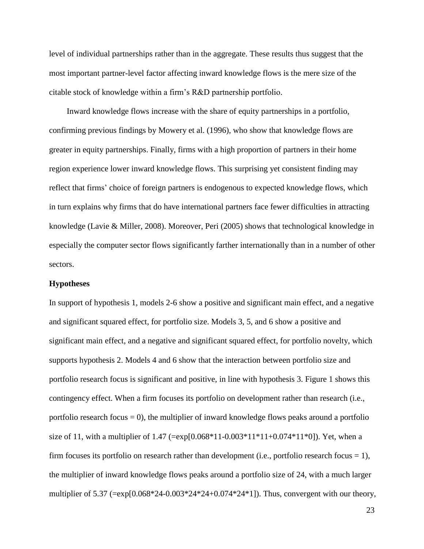level of individual partnerships rather than in the aggregate. These results thus suggest that the most important partner-level factor affecting inward knowledge flows is the mere size of the citable stock of knowledge within a firm's R&D partnership portfolio.

Inward knowledge flows increase with the share of equity partnerships in a portfolio, confirming previous findings by Mowery et al. (1996), who show that knowledge flows are greater in equity partnerships. Finally, firms with a high proportion of partners in their home region experience lower inward knowledge flows. This surprising yet consistent finding may reflect that firms' choice of foreign partners is endogenous to expected knowledge flows, which in turn explains why firms that do have international partners face fewer difficulties in attracting knowledge (Lavie & Miller, 2008). Moreover, Peri (2005) shows that technological knowledge in especially the computer sector flows significantly farther internationally than in a number of other sectors.

#### **Hypotheses**

In support of hypothesis 1, models 2-6 show a positive and significant main effect, and a negative and significant squared effect, for portfolio size. Models 3, 5, and 6 show a positive and significant main effect, and a negative and significant squared effect, for portfolio novelty, which supports hypothesis 2. Models 4 and 6 show that the interaction between portfolio size and portfolio research focus is significant and positive, in line with hypothesis 3. Figure 1 shows this contingency effect. When a firm focuses its portfolio on development rather than research (i.e., portfolio research focus  $= 0$ ), the multiplier of inward knowledge flows peaks around a portfolio size of 11, with a multiplier of  $1.47$  (=exp[0.068\*11-0.003\*11\*11+0.074\*11\*0]). Yet, when a firm focuses its portfolio on research rather than development (i.e., portfolio research focus = 1), the multiplier of inward knowledge flows peaks around a portfolio size of 24, with a much larger multiplier of 5.37 (=exp[0.068\*24-0.003\*24\*24+0.074\*24\*1]). Thus, convergent with our theory,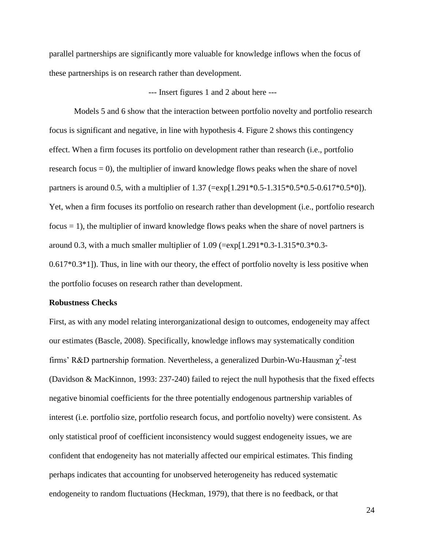parallel partnerships are significantly more valuable for knowledge inflows when the focus of these partnerships is on research rather than development.

## --- Insert figures 1 and 2 about here ---

Models 5 and 6 show that the interaction between portfolio novelty and portfolio research focus is significant and negative, in line with hypothesis 4. Figure 2 shows this contingency effect. When a firm focuses its portfolio on development rather than research (i.e., portfolio research focus  $= 0$ ), the multiplier of inward knowledge flows peaks when the share of novel partners is around 0.5, with a multiplier of 1.37 (= $\exp[1.291*0.5-1.315*0.5*0.5-0.617*0.5*0]$ ). Yet, when a firm focuses its portfolio on research rather than development (i.e., portfolio research  $f\text{ocus} = 1$ , the multiplier of inward knowledge flows peaks when the share of novel partners is around 0.3, with a much smaller multiplier of  $1.09$  (=exp[1.291\*0.3-1.315\*0.3\*0.3- $0.617*0.3*1$ ]. Thus, in line with our theory, the effect of portfolio novelty is less positive when

the portfolio focuses on research rather than development.

#### **Robustness Checks**

First, as with any model relating interorganizational design to outcomes, endogeneity may affect our estimates (Bascle, 2008). Specifically, knowledge inflows may systematically condition firms' R&D partnership formation. Nevertheless, a generalized Durbin-Wu-Hausman  $\chi^2$ -test (Davidson & MacKinnon, 1993: 237-240) failed to reject the null hypothesis that the fixed effects negative binomial coefficients for the three potentially endogenous partnership variables of interest (i.e. portfolio size, portfolio research focus, and portfolio novelty) were consistent. As only statistical proof of coefficient inconsistency would suggest endogeneity issues, we are confident that endogeneity has not materially affected our empirical estimates. This finding perhaps indicates that accounting for unobserved heterogeneity has reduced systematic endogeneity to random fluctuations (Heckman, 1979), that there is no feedback, or that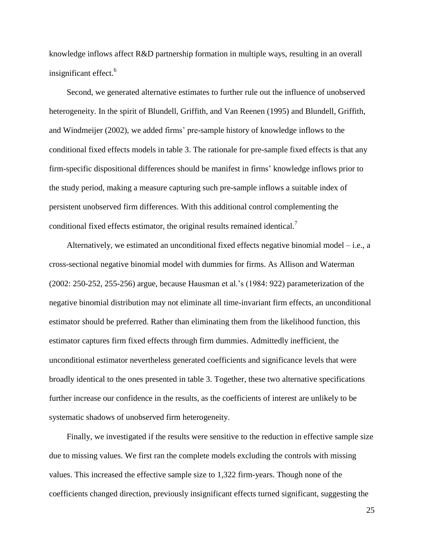knowledge inflows affect R&D partnership formation in multiple ways, resulting in an overall insignificant effect. 6

Second, we generated alternative estimates to further rule out the influence of unobserved heterogeneity. In the spirit of Blundell, Griffith, and Van Reenen (1995) and Blundell, Griffith, and Windmeijer (2002), we added firms' pre-sample history of knowledge inflows to the conditional fixed effects models in table 3. The rationale for pre-sample fixed effects is that any firm-specific dispositional differences should be manifest in firms' knowledge inflows prior to the study period, making a measure capturing such pre-sample inflows a suitable index of persistent unobserved firm differences. With this additional control complementing the conditional fixed effects estimator, the original results remained identical.<sup>7</sup>

Alternatively, we estimated an unconditional fixed effects negative binomial model – i.e., a cross-sectional negative binomial model with dummies for firms. As Allison and Waterman (2002: 250-252, 255-256) argue, because Hausman et al.'s (1984: 922) parameterization of the negative binomial distribution may not eliminate all time-invariant firm effects, an unconditional estimator should be preferred. Rather than eliminating them from the likelihood function, this estimator captures firm fixed effects through firm dummies. Admittedly inefficient, the unconditional estimator nevertheless generated coefficients and significance levels that were broadly identical to the ones presented in table 3. Together, these two alternative specifications further increase our confidence in the results, as the coefficients of interest are unlikely to be systematic shadows of unobserved firm heterogeneity.

Finally, we investigated if the results were sensitive to the reduction in effective sample size due to missing values. We first ran the complete models excluding the controls with missing values. This increased the effective sample size to 1,322 firm-years. Though none of the coefficients changed direction, previously insignificant effects turned significant, suggesting the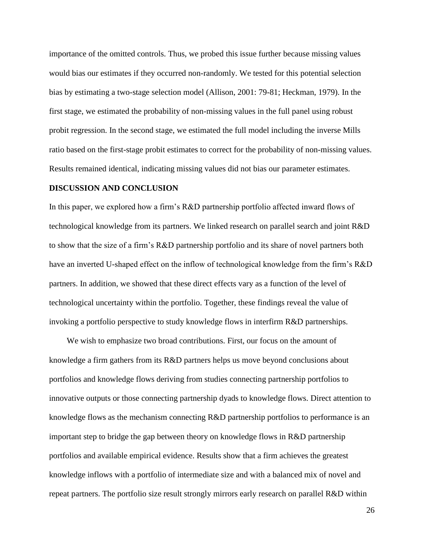importance of the omitted controls. Thus, we probed this issue further because missing values would bias our estimates if they occurred non-randomly. We tested for this potential selection bias by estimating a two-stage selection model (Allison, 2001: 79-81; Heckman, 1979). In the first stage, we estimated the probability of non-missing values in the full panel using robust probit regression. In the second stage, we estimated the full model including the inverse Mills ratio based on the first-stage probit estimates to correct for the probability of non-missing values. Results remained identical, indicating missing values did not bias our parameter estimates.

### **DISCUSSION AND CONCLUSION**

In this paper, we explored how a firm's R&D partnership portfolio affected inward flows of technological knowledge from its partners. We linked research on parallel search and joint R&D to show that the size of a firm's R&D partnership portfolio and its share of novel partners both have an inverted U-shaped effect on the inflow of technological knowledge from the firm's R&D partners. In addition, we showed that these direct effects vary as a function of the level of technological uncertainty within the portfolio. Together, these findings reveal the value of invoking a portfolio perspective to study knowledge flows in interfirm R&D partnerships.

We wish to emphasize two broad contributions. First, our focus on the amount of knowledge a firm gathers from its R&D partners helps us move beyond conclusions about portfolios and knowledge flows deriving from studies connecting partnership portfolios to innovative outputs or those connecting partnership dyads to knowledge flows. Direct attention to knowledge flows as the mechanism connecting R&D partnership portfolios to performance is an important step to bridge the gap between theory on knowledge flows in R&D partnership portfolios and available empirical evidence. Results show that a firm achieves the greatest knowledge inflows with a portfolio of intermediate size and with a balanced mix of novel and repeat partners. The portfolio size result strongly mirrors early research on parallel R&D within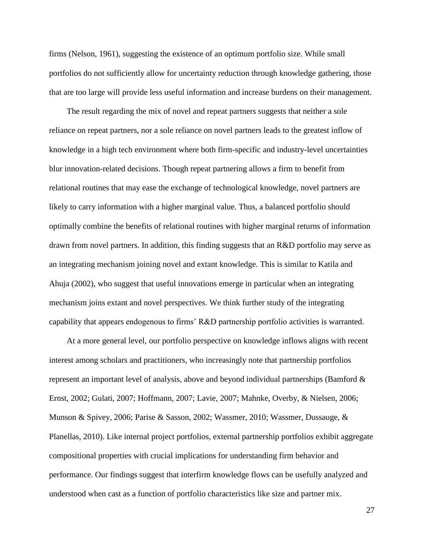firms (Nelson, 1961), suggesting the existence of an optimum portfolio size. While small portfolios do not sufficiently allow for uncertainty reduction through knowledge gathering, those that are too large will provide less useful information and increase burdens on their management.

The result regarding the mix of novel and repeat partners suggests that neither a sole reliance on repeat partners, nor a sole reliance on novel partners leads to the greatest inflow of knowledge in a high tech environment where both firm-specific and industry-level uncertainties blur innovation-related decisions. Though repeat partnering allows a firm to benefit from relational routines that may ease the exchange of technological knowledge, novel partners are likely to carry information with a higher marginal value. Thus, a balanced portfolio should optimally combine the benefits of relational routines with higher marginal returns of information drawn from novel partners. In addition, this finding suggests that an R&D portfolio may serve as an integrating mechanism joining novel and extant knowledge. This is similar to Katila and Ahuja (2002), who suggest that useful innovations emerge in particular when an integrating mechanism joins extant and novel perspectives. We think further study of the integrating capability that appears endogenous to firms' R&D partnership portfolio activities is warranted.

At a more general level, our portfolio perspective on knowledge inflows aligns with recent interest among scholars and practitioners, who increasingly note that partnership portfolios represent an important level of analysis, above and beyond individual partnerships (Bamford & Ernst, 2002; Gulati, 2007; Hoffmann, 2007; Lavie, 2007; Mahnke, Overby, & Nielsen, 2006; Munson & Spivey, 2006; Parise & Sasson, 2002; Wassmer, 2010; Wassmer, Dussauge, & Planellas, 2010). Like internal project portfolios, external partnership portfolios exhibit aggregate compositional properties with crucial implications for understanding firm behavior and performance. Our findings suggest that interfirm knowledge flows can be usefully analyzed and understood when cast as a function of portfolio characteristics like size and partner mix.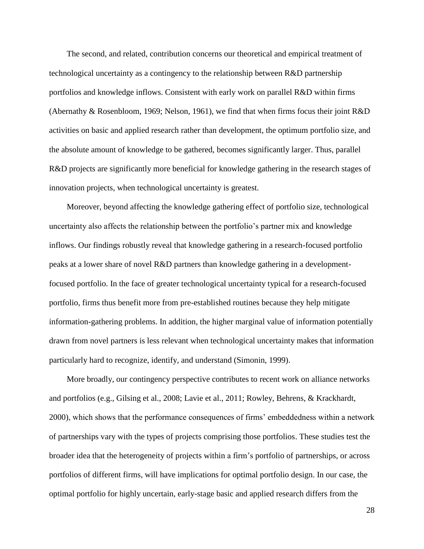The second, and related, contribution concerns our theoretical and empirical treatment of technological uncertainty as a contingency to the relationship between R&D partnership portfolios and knowledge inflows. Consistent with early work on parallel R&D within firms (Abernathy & Rosenbloom, 1969; Nelson, 1961), we find that when firms focus their joint R&D activities on basic and applied research rather than development, the optimum portfolio size, and the absolute amount of knowledge to be gathered, becomes significantly larger. Thus, parallel R&D projects are significantly more beneficial for knowledge gathering in the research stages of innovation projects, when technological uncertainty is greatest.

Moreover, beyond affecting the knowledge gathering effect of portfolio size, technological uncertainty also affects the relationship between the portfolio's partner mix and knowledge inflows. Our findings robustly reveal that knowledge gathering in a research-focused portfolio peaks at a lower share of novel R&D partners than knowledge gathering in a developmentfocused portfolio. In the face of greater technological uncertainty typical for a research-focused portfolio, firms thus benefit more from pre-established routines because they help mitigate information-gathering problems. In addition, the higher marginal value of information potentially drawn from novel partners is less relevant when technological uncertainty makes that information particularly hard to recognize, identify, and understand (Simonin, 1999).

More broadly, our contingency perspective contributes to recent work on alliance networks and portfolios (e.g., Gilsing et al., 2008; Lavie et al., 2011; Rowley, Behrens, & Krackhardt, 2000), which shows that the performance consequences of firms' embeddedness within a network of partnerships vary with the types of projects comprising those portfolios. These studies test the broader idea that the heterogeneity of projects within a firm's portfolio of partnerships, or across portfolios of different firms, will have implications for optimal portfolio design. In our case, the optimal portfolio for highly uncertain, early-stage basic and applied research differs from the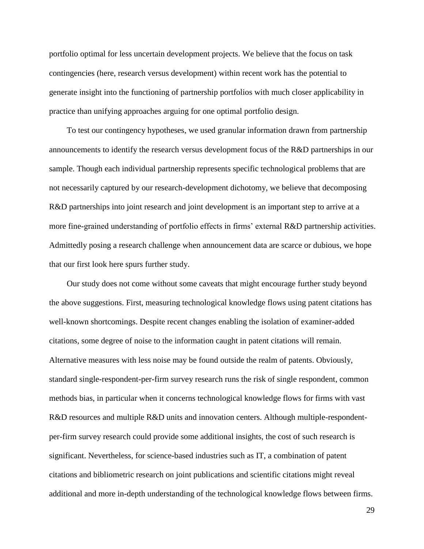portfolio optimal for less uncertain development projects. We believe that the focus on task contingencies (here, research versus development) within recent work has the potential to generate insight into the functioning of partnership portfolios with much closer applicability in practice than unifying approaches arguing for one optimal portfolio design.

To test our contingency hypotheses, we used granular information drawn from partnership announcements to identify the research versus development focus of the R&D partnerships in our sample. Though each individual partnership represents specific technological problems that are not necessarily captured by our research-development dichotomy, we believe that decomposing R&D partnerships into joint research and joint development is an important step to arrive at a more fine-grained understanding of portfolio effects in firms' external R&D partnership activities. Admittedly posing a research challenge when announcement data are scarce or dubious, we hope that our first look here spurs further study.

Our study does not come without some caveats that might encourage further study beyond the above suggestions. First, measuring technological knowledge flows using patent citations has well-known shortcomings. Despite recent changes enabling the isolation of examiner-added citations, some degree of noise to the information caught in patent citations will remain. Alternative measures with less noise may be found outside the realm of patents. Obviously, standard single-respondent-per-firm survey research runs the risk of single respondent, common methods bias, in particular when it concerns technological knowledge flows for firms with vast R&D resources and multiple R&D units and innovation centers. Although multiple-respondentper-firm survey research could provide some additional insights, the cost of such research is significant. Nevertheless, for science-based industries such as IT, a combination of patent citations and bibliometric research on joint publications and scientific citations might reveal additional and more in-depth understanding of the technological knowledge flows between firms.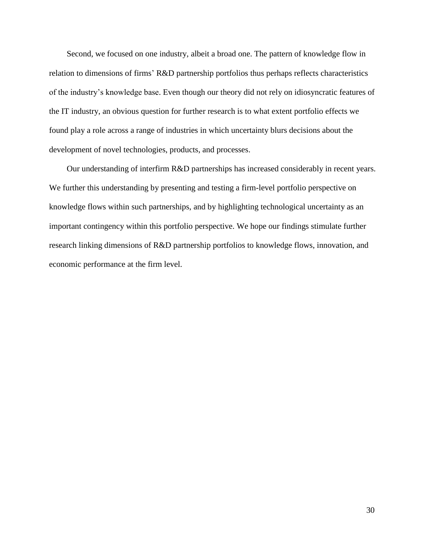Second, we focused on one industry, albeit a broad one. The pattern of knowledge flow in relation to dimensions of firms' R&D partnership portfolios thus perhaps reflects characteristics of the industry's knowledge base. Even though our theory did not rely on idiosyncratic features of the IT industry, an obvious question for further research is to what extent portfolio effects we found play a role across a range of industries in which uncertainty blurs decisions about the development of novel technologies, products, and processes.

Our understanding of interfirm R&D partnerships has increased considerably in recent years. We further this understanding by presenting and testing a firm-level portfolio perspective on knowledge flows within such partnerships, and by highlighting technological uncertainty as an important contingency within this portfolio perspective. We hope our findings stimulate further research linking dimensions of R&D partnership portfolios to knowledge flows, innovation, and economic performance at the firm level.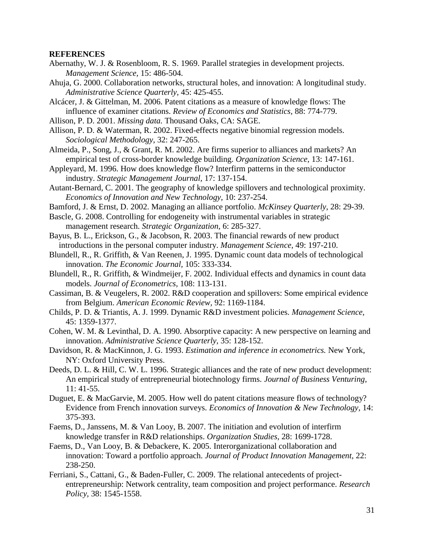#### **REFERENCES**

- Abernathy, W. J. & Rosenbloom, R. S. 1969. Parallel strategies in development projects. *Management Science,* 15: 486-504.
- Ahuja, G. 2000. Collaboration networks, structural holes, and innovation: A longitudinal study. *Administrative Science Quarterly,* 45: 425-455.

Alcácer, J. & Gittelman, M. 2006. Patent citations as a measure of knowledge flows: The influence of examiner citations. *Review of Economics and Statistics,* 88: 774-779.

- Allison, P. D. 2001. *Missing data.* Thousand Oaks, CA: SAGE.
- Allison, P. D. & Waterman, R. 2002. Fixed-effects negative binomial regression models. *Sociological Methodology,* 32: 247-265.
- Almeida, P., Song, J., & Grant, R. M. 2002. Are firms superior to alliances and markets? An empirical test of cross-border knowledge building. *Organization Science,* 13: 147-161.
- Appleyard, M. 1996. How does knowledge flow? Interfirm patterns in the semiconductor industry. *Strategic Management Journal,* 17: 137-154.
- Autant-Bernard, C. 2001. The geography of knowledge spillovers and technological proximity. *Economics of Innovation and New Technology,* 10: 237-254.
- Bamford, J. & Ernst, D. 2002. Managing an alliance portfolio. *McKinsey Quarterly,* 28: 29-39.
- Bascle, G. 2008. Controlling for endogeneity with instrumental variables in strategic management research. *Strategic Organization,* 6: 285-327.
- Bayus, B. L., Erickson, G., & Jacobson, R. 2003. The financial rewards of new product introductions in the personal computer industry. *Management Science,* 49: 197-210.
- Blundell, R., R. Griffith, & Van Reenen, J. 1995. Dynamic count data models of technological innovation. *The Economic Journal,* 105: 333-334.
- Blundell, R., R. Griffith, & Windmeijer, F. 2002. Individual effects and dynamics in count data models. *Journal of Econometrics,* 108: 113-131.
- Cassiman, B. & Veugelers, R. 2002. R&D cooperation and spillovers: Some empirical evidence from Belgium. *American Economic Review,* 92: 1169-1184.
- Childs, P. D. & Triantis, A. J. 1999. Dynamic R&D investment policies. *Management Science,* 45: 1359-1377.
- Cohen, W. M. & Levinthal, D. A. 1990. Absorptive capacity: A new perspective on learning and innovation. *Administrative Science Quarterly,* 35: 128-152.
- Davidson, R. & MacKinnon, J. G. 1993. *Estimation and inference in econometrics.* New York, NY: Oxford University Press.
- Deeds, D. L. & Hill, C. W. L. 1996. Strategic alliances and the rate of new product development: An empirical study of entrepreneurial biotechnology firms. *Journal of Business Venturing,* 11: 41-55.
- Duguet, E. & MacGarvie, M. 2005. How well do patent citations measure flows of technology? Evidence from French innovation surveys. *Economics of Innovation & New Technology,* 14: 375-393.
- Faems, D., Janssens, M. & Van Looy, B. 2007. The initiation and evolution of interfirm knowledge transfer in R&D relationships. *Organization Studies,* 28: 1699-1728.
- Faems, D., Van Looy, B. & Debackere, K. 2005. Interorganizational collaboration and innovation: Toward a portfolio approach. *Journal of Product Innovation Management,* 22: 238-250.
- Ferriani, S., Cattani, G., & Baden-Fuller, C. 2009. The relational antecedents of projectentrepreneurship: Network centrality, team composition and project performance. *Research Policy,* 38: 1545-1558.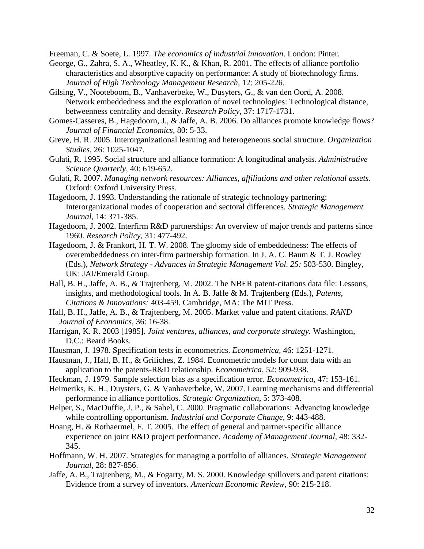Freeman, C. & Soete, L. 1997. *The economics of industrial innovation*. London: Pinter.

- George, G., Zahra, S. A., Wheatley, K. K., & Khan, R. 2001. The effects of alliance portfolio characteristics and absorptive capacity on performance: A study of biotechnology firms. *Journal of High Technology Management Research,* 12: 205-226.
- Gilsing, V., Nooteboom, B., Vanhaverbeke, W., Dusyters, G., & van den Oord, A. 2008. Network embeddedness and the exploration of novel technologies: Technological distance, betweenness centrality and density. *Research Policy,* 37: 1717-1731.
- Gomes-Casseres, B., Hagedoorn, J., & Jaffe, A. B. 2006. Do alliances promote knowledge flows? *Journal of Financial Economics,* 80: 5-33.
- Greve, H. R. 2005. Interorganizational learning and heterogeneous social structure. *Organization Studies,* 26: 1025-1047.
- Gulati, R. 1995. Social structure and alliance formation: A longitudinal analysis. *Administrative Science Quarterly,* 40: 619-652.
- Gulati, R. 2007. *Managing network resources: Alliances, affiliations and other relational assets*. Oxford: Oxford University Press.
- Hagedoorn, J. 1993. Understanding the rationale of strategic technology partnering: Interorganizational modes of cooperation and sectoral differences. *Strategic Management Journal,* 14: 371-385.
- Hagedoorn, J. 2002. Interfirm R&D partnerships: An overview of major trends and patterns since 1960. *Research Policy,* 31: 477-492.
- Hagedoorn, J. & Frankort, H. T. W. 2008. The gloomy side of embeddedness: The effects of overembeddedness on inter-firm partnership formation. In J. A. C. Baum & T. J. Rowley (Eds.), *Network Strategy - Advances in Strategic Management Vol. 25:* 503-530. Bingley, UK: JAI/Emerald Group.
- Hall, B. H., Jaffe, A. B., & Trajtenberg, M. 2002. The NBER patent-citations data file: Lessons, insights, and methodological tools. In A. B. Jaffe & M. Trajtenberg (Eds.), *Patents, Citations & Innovations:* 403-459. Cambridge, MA: The MIT Press.
- Hall, B. H., Jaffe, A. B., & Trajtenberg, M. 2005. Market value and patent citations. *RAND Journal of Economics,* 36: 16-38.
- Harrigan, K. R. 2003 [1985]. *Joint ventures, alliances, and corporate strategy.* Washington, D.C.: Beard Books.
- Hausman, J. 1978. Specification tests in econometrics. *Econometrica,* 46: 1251-1271.
- Hausman, J., Hall, B. H., & Griliches, Z. 1984. Econometric models for count data with an application to the patents-R&D relationship. *Econometrica,* 52: 909-938.
- Heckman, J. 1979. Sample selection bias as a specification error. *Econometrica,* 47: 153-161.
- Heimeriks, K. H., Duysters, G. & Vanhaverbeke, W. 2007. Learning mechanisms and differential performance in alliance portfolios. *Strategic Organization,* 5: 373-408.
- Helper, S., MacDuffie, J. P., & Sabel, C. 2000. Pragmatic collaborations: Advancing knowledge while controlling opportunism. *Industrial and Corporate Change,* 9: 443-488.
- Hoang, H. & Rothaermel, F. T. 2005. The effect of general and partner-specific alliance experience on joint R&D project performance. *Academy of Management Journal,* 48: 332- 345.
- Hoffmann, W. H. 2007. Strategies for managing a portfolio of alliances. *Strategic Management Journal,* 28: 827-856.
- Jaffe, A. B., Trajtenberg, M., & Fogarty, M. S. 2000. Knowledge spillovers and patent citations: Evidence from a survey of inventors. *American Economic Review,* 90: 215-218.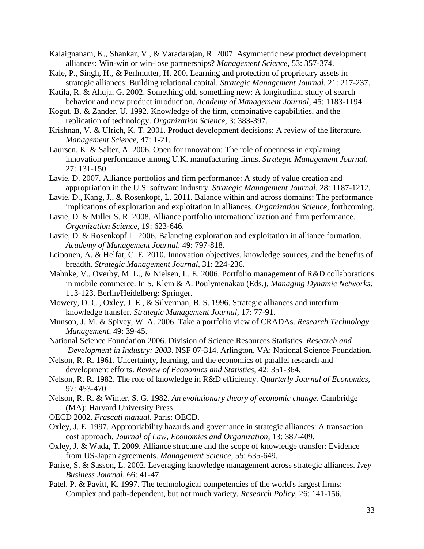- Kalaignanam, K., Shankar, V., & Varadarajan, R. 2007. Asymmetric new product development alliances: Win-win or win-lose partnerships? *Management Science,* 53: 357-374.
- Kale, P., Singh, H., & Perlmutter, H. 200. Learning and protection of proprietary assets in strategic alliances: Building relational capital. *Strategic Management Journal,* 21: 217-237.
- Katila, R. & Ahuja, G. 2002. Something old, something new: A longitudinal study of search behavior and new product inroduction. *Academy of Management Journal,* 45: 1183-1194.
- Kogut, B. & Zander, U. 1992. Knowledge of the firm, combinative capabilities, and the replication of technology. *Organization Science,* 3: 383-397.
- Krishnan, V. & Ulrich, K. T. 2001. Product development decisions: A review of the literature. *Management Science,* 47: 1-21.
- Laursen, K. & Salter, A. 2006. Open for innovation: The role of openness in explaining innovation performance among U.K. manufacturing firms. *Strategic Management Journal,* 27: 131-150.
- Lavie, D. 2007. Alliance portfolios and firm performance: A study of value creation and appropriation in the U.S. software industry. *Strategic Management Journal,* 28: 1187-1212.
- Lavie, D., Kang, J., & Rosenkopf, L. 2011. Balance within and across domains: The performance implications of exploration and exploitation in alliances. *Organization Science,* forthcoming.
- Lavie, D. & Miller S. R. 2008. Alliance portfolio internationalization and firm performance. *Organization Science,* 19: 623-646.
- Lavie, D. & Rosenkopf L. 2006. Balancing exploration and exploitation in alliance formation. *Academy of Management Journal,* 49: 797-818.
- Leiponen, A. & Helfat, C. E. 2010. Innovation objectives, knowledge sources, and the benefits of breadth. *Strategic Management Journal,* 31: 224-236.
- Mahnke, V., Overby, M. L., & Nielsen, L. E. 2006. Portfolio management of R&D collaborations in mobile commerce. In S. Klein & A. Poulymenakau (Eds.), *Managing Dynamic Networks:* 113-123. Berlin/Heidelberg: Springer.
- Mowery, D. C., Oxley, J. E., & Silverman, B. S. 1996. Strategic alliances and interfirm knowledge transfer. *Strategic Management Journal,* 17: 77-91.
- Munson, J. M. & Spivey, W. A. 2006. Take a portfolio view of CRADAs. *Research Technology Management,* 49: 39-45.
- National Science Foundation 2006. Division of Science Resources Statistics. *Research and Development in Industry: 2003*. NSF 07-314. Arlington, VA: National Science Foundation.
- Nelson, R. R. 1961. Uncertainty, learning, and the economics of parallel research and development efforts. *Review of Economics and Statistics*, 42: 351-364.
- Nelson, R. R. 1982. The role of knowledge in R&D efficiency. *Quarterly Journal of Economics,* 97: 453-470.
- Nelson, R. R. & Winter, S. G. 1982. *An evolutionary theory of economic change*. Cambridge (MA): Harvard University Press.
- OECD 2002. *Frascati manual.* Paris: OECD.
- Oxley, J. E. 1997. Appropriability hazards and governance in strategic alliances: A transaction cost approach. *Journal of Law, Economics and Organization,* 13: 387-409.
- Oxley, J. & Wada, T. 2009. Alliance structure and the scope of knowledge transfer: Evidence from US-Japan agreements. *Management Science,* 55: 635-649.
- Parise, S. & Sasson, L. 2002. Leveraging knowledge management across strategic alliances. *Ivey Business Journal,* 66: 41-47.
- Patel, P. & Pavitt, K. 1997. The technological competencies of the world's largest firms: Complex and path-dependent, but not much variety. *Research Policy,* 26: 141-156.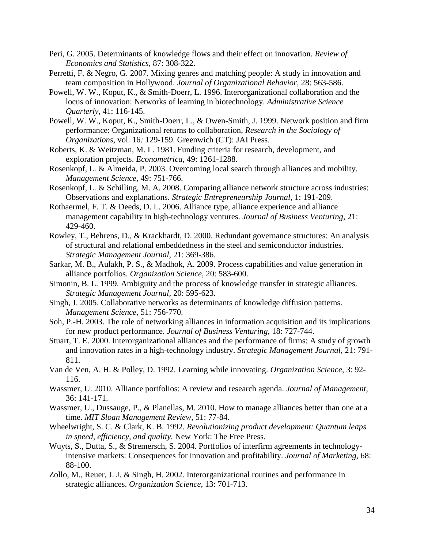- Peri, G. 2005. Determinants of knowledge flows and their effect on innovation. *Review of Economics and Statistics,* 87: 308-322.
- Perretti, F. & Negro, G. 2007. Mixing genres and matching people: A study in innovation and team composition in Hollywood. *Journal of Organizational Behavior,* 28: 563-586.
- Powell, W. W., Koput, K., & Smith-Doerr, L. 1996. Interorganizational collaboration and the locus of innovation: Networks of learning in biotechnology. *Administrative Science Quarterly,* 41: 116-145.
- Powell, W. W., Koput, K., Smith-Doerr, L., & Owen-Smith, J. 1999. Network position and firm performance: Organizational returns to collaboration, *Research in the Sociology of Organizations,* vol. 16*:* 129-159. Greenwich (CT): JAI Press.
- Roberts, K. & Weitzman, M. L. 1981. Funding criteria for research, development, and exploration projects. *Econometrica,* 49: 1261-1288.
- Rosenkopf, L. & Almeida, P. 2003. Overcoming local search through alliances and mobility. *Management Science,* 49: 751-766.
- Rosenkopf, L. & Schilling, M. A. 2008. Comparing alliance network structure across industries: Observations and explanations. *Strategic Entrepreneurship Journal,* 1: 191-209.
- Rothaermel, F. T. & Deeds, D. L. 2006. Alliance type, alliance experience and alliance management capability in high-technology ventures. *Journal of Business Venturing,* 21: 429-460.
- Rowley, T., Behrens, D., & Krackhardt, D. 2000. Redundant governance structures: An analysis of structural and relational embeddedness in the steel and semiconductor industries. *Strategic Management Journal,* 21: 369-386.
- Sarkar, M. B., Aulakh, P. S., & Madhok, A. 2009. Process capabilities and value generation in alliance portfolios. *Organization Science,* 20: 583-600.
- Simonin, B. L. 1999. Ambiguity and the process of knowledge transfer in strategic alliances. *Strategic Management Journal,* 20: 595-623.
- Singh, J. 2005. Collaborative networks as determinants of knowledge diffusion patterns. *Management Science,* 51: 756-770.
- Soh, P.-H. 2003. The role of networking alliances in information acquisition and its implications for new product performance. *Journal of Business Venturing,* 18: 727-744.
- Stuart, T. E. 2000. Interorganizational alliances and the performance of firms: A study of growth and innovation rates in a high-technology industry. *Strategic Management Journal,* 21: 791- 811.
- Van de Ven, A. H. & Polley, D. 1992. Learning while innovating. *Organization Science,* 3: 92- 116.
- Wassmer, U. 2010. Alliance portfolios: A review and research agenda. *Journal of Management,* 36: 141-171.
- Wassmer, U., Dussauge, P., & Planellas, M. 2010. How to manage alliances better than one at a time. *MIT Sloan Management Review,* 51: 77-84.
- Wheelwright, S. C. & Clark, K. B. 1992. *Revolutionizing product development: Quantum leaps in speed, efficiency, and quality.* New York: The Free Press.
- Wuyts, S., Dutta, S., & Stremersch, S. 2004. Portfolios of interfirm agreements in technologyintensive markets: Consequences for innovation and profitability. *Journal of Marketing,* 68: 88-100.
- Zollo, M., Reuer, J. J. & Singh, H. 2002. Interorganizational routines and performance in strategic alliances. *Organization Science,* 13: 701-713.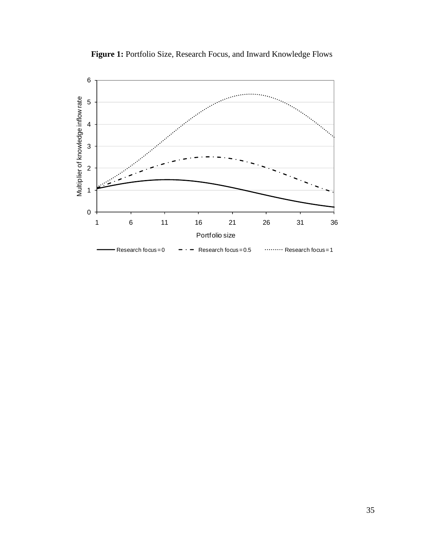

Figure 1: Portfolio Size, Research Focus, and Inward Knowledge Flows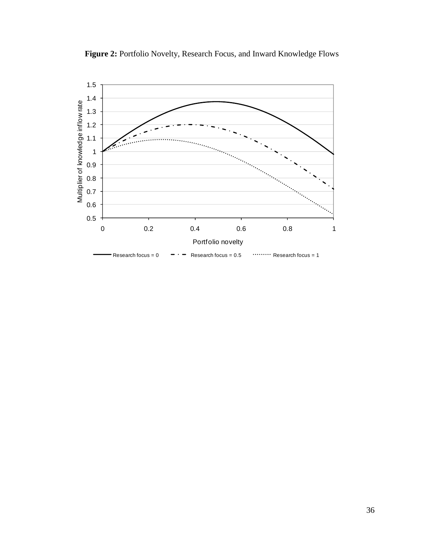

Figure 2: Portfolio Novelty, Research Focus, and Inward Knowledge Flows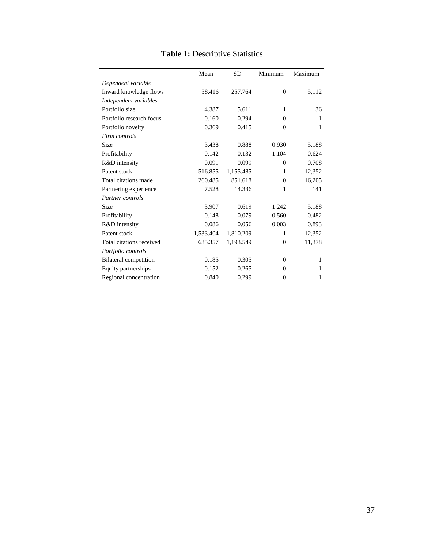|                              | Mean      | <b>SD</b> | Minimum        | Maximum |
|------------------------------|-----------|-----------|----------------|---------|
| Dependent variable           |           |           |                |         |
| Inward knowledge flows       | 58.416    | 257.764   | $\Omega$       | 5,112   |
| Independent variables        |           |           |                |         |
| Portfolio size               | 4.387     | 5.611     | 1              | 36      |
| Portfolio research focus     | 0.160     | 0.294     | $\Omega$       | 1       |
| Portfolio novelty            | 0.369     | 0.415     | $\theta$       | 1       |
| Firm controls                |           |           |                |         |
| Size                         | 3.438     | 0.888     | 0.930          | 5.188   |
| Profitability                | 0.142     | 0.132     | $-1.104$       | 0.624   |
| R&D intensity                | 0.091     | 0.099     | $\Omega$       | 0.708   |
| Patent stock                 | 516.855   | 1,155.485 | 1              | 12,352  |
| Total citations made         | 260.485   | 851.618   | $\Omega$       | 16,205  |
| Partnering experience        | 7.528     | 14.336    | 1              | 141     |
| Partner controls             |           |           |                |         |
| Size                         | 3.907     | 0.619     | 1.242          | 5.188   |
| Profitability                | 0.148     | 0.079     | $-0.560$       | 0.482   |
| R&D intensity                | 0.086     | 0.056     | 0.003          | 0.893   |
| Patent stock                 | 1,533.404 | 1,810.209 | 1              | 12,352  |
| Total citations received     | 635.357   | 1,193.549 | $\theta$       | 11,378  |
| Portfolio controls           |           |           |                |         |
| <b>Bilateral</b> competition | 0.185     | 0.305     | $\Omega$       | 1       |
| Equity partnerships          | 0.152     | 0.265     | $\Omega$       | 1       |
| Regional concentration       | 0.840     | 0.299     | $\overline{0}$ | 1       |

# **Table 1:** Descriptive Statistics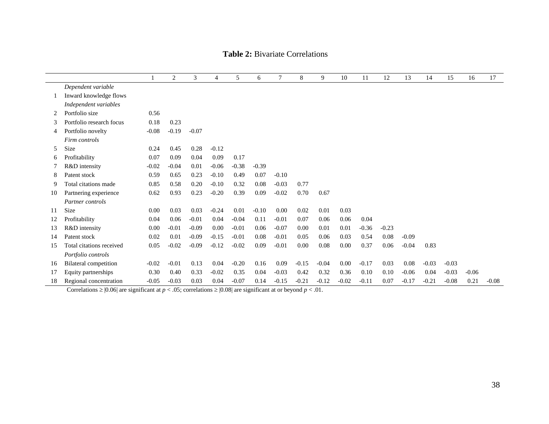|    |                              |         | $\overline{c}$ | 3       | $\overline{4}$ | 5       | 6       | $\tau$  | 8       | 9       | 10      | 11      | 12      | 13      | 14      | 15      | 16      | 17      |
|----|------------------------------|---------|----------------|---------|----------------|---------|---------|---------|---------|---------|---------|---------|---------|---------|---------|---------|---------|---------|
|    | Dependent variable           |         |                |         |                |         |         |         |         |         |         |         |         |         |         |         |         |         |
|    | Inward knowledge flows       |         |                |         |                |         |         |         |         |         |         |         |         |         |         |         |         |         |
|    | Independent variables        |         |                |         |                |         |         |         |         |         |         |         |         |         |         |         |         |         |
| 2  | Portfolio size               | 0.56    |                |         |                |         |         |         |         |         |         |         |         |         |         |         |         |         |
| 3  | Portfolio research focus     | 0.18    | 0.23           |         |                |         |         |         |         |         |         |         |         |         |         |         |         |         |
| 4  | Portfolio novelty            | $-0.08$ | $-0.19$        | $-0.07$ |                |         |         |         |         |         |         |         |         |         |         |         |         |         |
|    | Firm controls                |         |                |         |                |         |         |         |         |         |         |         |         |         |         |         |         |         |
| 5  | Size                         | 0.24    | 0.45           | 0.28    | $-0.12$        |         |         |         |         |         |         |         |         |         |         |         |         |         |
| 6  | Profitability                | 0.07    | 0.09           | 0.04    | 0.09           | 0.17    |         |         |         |         |         |         |         |         |         |         |         |         |
|    | R&D intensity                | $-0.02$ | $-0.04$        | 0.01    | $-0.06$        | $-0.38$ | $-0.39$ |         |         |         |         |         |         |         |         |         |         |         |
| 8  | Patent stock                 | 0.59    | 0.65           | 0.23    | $-0.10$        | 0.49    | 0.07    | $-0.10$ |         |         |         |         |         |         |         |         |         |         |
| 9  | Total citations made         | 0.85    | 0.58           | 0.20    | $-0.10$        | 0.32    | 0.08    | $-0.03$ | 0.77    |         |         |         |         |         |         |         |         |         |
| 10 | Partnering experience        | 0.62    | 0.93           | 0.23    | $-0.20$        | 0.39    | 0.09    | $-0.02$ | 0.70    | 0.67    |         |         |         |         |         |         |         |         |
|    | Partner controls             |         |                |         |                |         |         |         |         |         |         |         |         |         |         |         |         |         |
| 11 | <b>Size</b>                  | 0.00    | 0.03           | 0.03    | $-0.24$        | 0.01    | $-0.10$ | 0.00    | 0.02    | 0.01    | 0.03    |         |         |         |         |         |         |         |
| 12 | Profitability                | 0.04    | 0.06           | $-0.01$ | 0.04           | $-0.04$ | 0.11    | $-0.01$ | 0.07    | 0.06    | 0.06    | 0.04    |         |         |         |         |         |         |
| 13 | R&D intensity                | 0.00    | $-0.01$        | $-0.09$ | 0.00           | $-0.01$ | 0.06    | $-0.07$ | 0.00    | 0.01    | 0.01    | $-0.36$ | $-0.23$ |         |         |         |         |         |
| 14 | Patent stock                 | 0.02    | 0.01           | $-0.09$ | $-0.15$        | $-0.01$ | 0.08    | $-0.01$ | 0.05    | 0.06    | 0.03    | 0.54    | 0.08    | $-0.09$ |         |         |         |         |
| 15 | Total citations received     | 0.05    | $-0.02$        | $-0.09$ | $-0.12$        | $-0.02$ | 0.09    | $-0.01$ | 0.00    | 0.08    | 0.00    | 0.37    | 0.06    | $-0.04$ | 0.83    |         |         |         |
|    | Portfolio controls           |         |                |         |                |         |         |         |         |         |         |         |         |         |         |         |         |         |
| 16 | <b>Bilateral</b> competition | $-0.02$ | $-0.01$        | 0.13    | 0.04           | $-0.20$ | 0.16    | 0.09    | $-0.15$ | $-0.04$ | 0.00    | $-0.17$ | 0.03    | 0.08    | $-0.03$ | $-0.03$ |         |         |
| 17 | Equity partnerships          | 0.30    | 0.40           | 0.33    | $-0.02$        | 0.35    | 0.04    | $-0.03$ | 0.42    | 0.32    | 0.36    | 0.10    | 0.10    | $-0.06$ | 0.04    | $-0.03$ | $-0.06$ |         |
| 18 | Regional concentration       | $-0.05$ | $-0.03$        | 0.03    | 0.04           | $-0.07$ | 0.14    | $-0.15$ | $-0.21$ | $-0.12$ | $-0.02$ | $-0.11$ | 0.07    | $-0.17$ | $-0.21$ | $-0.08$ | 0.21    | $-0.08$ |

# **Table 2:** Bivariate Correlations

Correlations  $\geq$  |0.06| are significant at *p* < .05; correlations  $\geq$  |0.08| are significant at or beyond *p* < .01.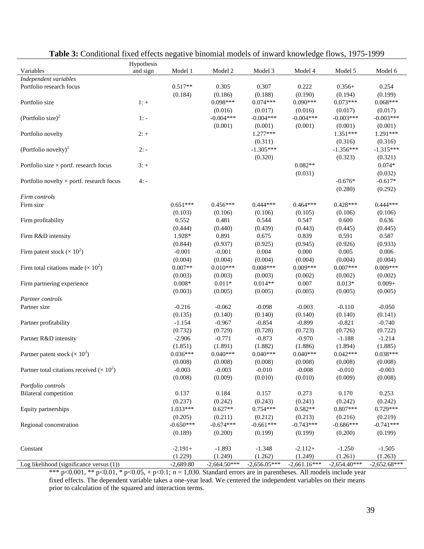|                                                        | Hypothesis |             |                |                |                |                |                |
|--------------------------------------------------------|------------|-------------|----------------|----------------|----------------|----------------|----------------|
| Variables                                              | and sign   | Model 1     | Model 2        | Model 3        | Model 4        | Model 5        | Model 6        |
| Independent variables                                  |            |             |                |                |                |                |                |
| Portfolio research focus                               |            | $0.517**$   | 0.305          | 0.307          | 0.222          | $0.356+$       | 0.254          |
|                                                        |            | (0.184)     | (0.186)        | (0.188)        | (0.190)        | (0.194)        | (0.199)        |
| Portfolio size                                         | $1: +$     |             | 0.098***       | $0.074***$     | $0.090***$     | $0.073***$     | $0.068***$     |
|                                                        |            |             | (0.016)        | (0.017)        | (0.016)        | (0.017)        | (0.017)        |
| (Portfolio size) <sup>2</sup>                          | $1: -$     |             | $-0.004***$    | $-0.004***$    | $-0.004***$    | $-0.003***$    | $-0.003***$    |
|                                                        |            |             | (0.001)        | (0.001)        | (0.001)        | (0.001)        | (0.001)        |
| Portfolio novelty                                      | $2: +$     |             |                | $1.277***$     |                | $1.351***$     | 1.291***       |
|                                                        |            |             |                |                |                |                |                |
|                                                        |            |             |                | (0.311)        |                | (0.316)        | (0.316)        |
| (Portfolio novelty) <sup>2</sup>                       | $2: -$     |             |                | $-1.305***$    |                | $-1.356***$    | $-1.315***$    |
|                                                        |            |             |                | (0.320)        |                | (0.323)        | (0.321)        |
| Portfolio size $\times$ portf. research focus          | $3: +$     |             |                |                | $0.082**$      |                | $0.074*$       |
|                                                        |            |             |                |                | (0.031)        |                | (0.032)        |
| Portfolio novelty $\times$ portf. research focus       | $4: -$     |             |                |                |                | $-0.676*$      | $-0.617*$      |
|                                                        |            |             |                |                |                | (0.280)        | (0.292)        |
| Firm controls                                          |            |             |                |                |                |                |                |
| Firm size                                              |            | $0.651***$  | $0.456***$     | $0.444***$     | $0.464***$     | $0.428***$     | $0.444***$     |
|                                                        |            | (0.103)     | (0.106)        | (0.106)        | (0.105)        | (0.106)        | (0.106)        |
| Firm profitability                                     |            | 0.552       | 0.481          | 0.544          | 0.547          | 0.600          | 0.636          |
|                                                        |            | (0.444)     | (0.440)        | (0.439)        | (0.443)        | (0.445)        | (0.445)        |
| Firm R&D intensity                                     |            | 1.928*      | 0.891          | 0.675          | 0.839          | 0.591          | 0.587          |
|                                                        |            | (0.844)     | (0.937)        | (0.925)        | (0.945)        | (0.926)        | (0.933)        |
| Firm patent stock ( $\times$ 10 <sup>2</sup> )         |            | $-0.001$    | $-0.001$       | 0.004          | 0.000          | 0.005          | 0.006          |
|                                                        |            | (0.004)     | (0.004)        | (0.004)        | (0.004)        | (0.004)        | (0.004)        |
| Firm total citations made ( $\times$ 10 <sup>2</sup> ) |            | $0.007**$   | $0.010***$     | $0.008***$     | $0.009***$     | $0.007***$     | $0.009***$     |
|                                                        |            |             |                |                |                |                |                |
|                                                        |            | (0.003)     | (0.003)        | (0.003)        | (0.002)        | (0.002)        | (0.002)        |
| Firm partnering experience                             |            | $0.008*$    | $0.011*$       | $0.014**$      | 0.007          | $0.013*$       | $0.009 +$      |
|                                                        |            | (0.003)     | (0.005)        | (0.005)        | (0.005)        | (0.005)        | (0.005)        |
| Partner controls                                       |            |             |                |                |                |                |                |
| Partner size                                           |            | $-0.216$    | $-0.062$       | $-0.098$       | $-0.003$       | $-0.110$       | $-0.050$       |
|                                                        |            | (0.135)     | (0.140)        | (0.140)        | (0.140)        | (0.140)        | (0.141)        |
| Partner profitability                                  |            | $-1.154$    | $-0.967$       | $-0.854$       | $-0.899$       | $-0.821$       | $-0.740$       |
|                                                        |            | (0.732)     | (0.729)        | (0.728)        | (0.723)        | (0.726)        | (0.722)        |
| Partner R&D intensity                                  |            | $-2.906$    | $-0.771$       | $-0.873$       | $-0.970$       | $-1.188$       | $-1.214$       |
|                                                        |            | (1.851)     | (1.891)        | (1.882)        | (1.886)        | (1.894)        | (1.885)        |
| Partner patent stock ( $\times$ 10 <sup>2</sup> )      |            | $0.036***$  | $0.040***$     | $0.040***$     | $0.040***$     | $0.042***$     | $0.038***$     |
|                                                        |            | (0.008)     | (0.008)        | (0.008)        | (0.008)        | (0.008)        | (0.008)        |
| Partner total citations received $(\times 10^2)$       |            | $-0.003$    | $-0.003$       | $-0.010$       | $-0.008$       | $-0.010$       | $-0.003$       |
|                                                        |            | (0.008)     | (0.009)        | (0.010)        | (0.010)        | (0.009)        | (0.008)        |
| Portfolio controls                                     |            |             |                |                |                |                |                |
| <b>Bilateral</b> competition                           |            | 0.137       | 0.184          | 0.157          | 0.273          | 0.170          | 0.253          |
|                                                        |            | (0.237)     | (0.242)        | (0.243)        | (0.241)        | (0.242)        | (0.242)        |
| Equity partnerships                                    |            | $1.033***$  | $0.627**$      | $0.754***$     | $0.582**$      | $0.807***$     | $0.729***$     |
|                                                        |            |             |                |                |                |                |                |
|                                                        |            | (0.205)     | (0.211)        | (0.212)        | (0.213)        | (0.216)        | (0.219)        |
| Regional concentration                                 |            | $-0.650***$ | $-0.674***$    | $-0.661***$    | $-0.743***$    | $-0.686***$    | $-0.741***$    |
|                                                        |            | (0.189)     | (0.200)        | (0.199)        | (0.199)        | (0.200)        | (0.199)        |
|                                                        |            |             |                |                |                |                |                |
| Constant                                               |            | $-2.191+$   | $-1.893$       | $-1.348$       | $-2.112+$      | $-1.250$       | $-1.505$       |
|                                                        |            | (1.229)     | (1.249)        | (1.262)        | (1.249)        | (1.261)        | (1.263)        |
| Log likelihood (significance versus (1))               |            | $-2,689.80$ | $-2,664.50***$ | $-2,656.05***$ | $-2,661.16***$ | $-2,654.40***$ | $-2,652.68***$ |

# **Table 3:** Conditional fixed effects negative binomial models of inward knowledge flows, 1975-1999

\*\*\* p<0.001, \*\* p<0.01, \* p<0.05, + p<0.1;  $n = 1,030$ . Standard errors are in parentheses. All models include year fixed effects. The dependent variable takes a one-year lead. We centered the independent variables on their means prior to calculation of the squared and interaction terms.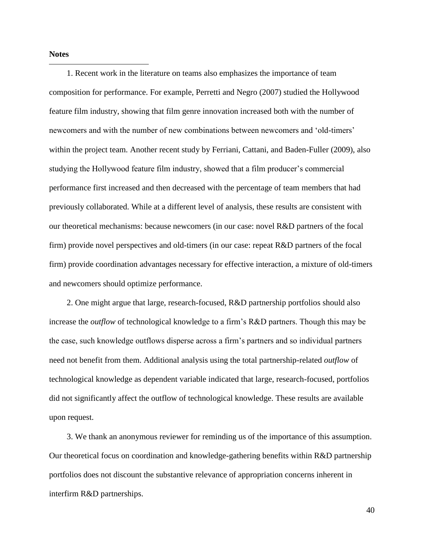**Notes**

-

1. Recent work in the literature on teams also emphasizes the importance of team composition for performance. For example, Perretti and Negro (2007) studied the Hollywood feature film industry, showing that film genre innovation increased both with the number of newcomers and with the number of new combinations between newcomers and 'old-timers' within the project team. Another recent study by Ferriani, Cattani, and Baden-Fuller (2009), also studying the Hollywood feature film industry, showed that a film producer's commercial performance first increased and then decreased with the percentage of team members that had previously collaborated. While at a different level of analysis, these results are consistent with our theoretical mechanisms: because newcomers (in our case: novel R&D partners of the focal firm) provide novel perspectives and old-timers (in our case: repeat R&D partners of the focal firm) provide coordination advantages necessary for effective interaction, a mixture of old-timers and newcomers should optimize performance.

2. One might argue that large, research-focused, R&D partnership portfolios should also increase the *outflow* of technological knowledge to a firm's R&D partners. Though this may be the case, such knowledge outflows disperse across a firm's partners and so individual partners need not benefit from them. Additional analysis using the total partnership-related *outflow* of technological knowledge as dependent variable indicated that large, research-focused, portfolios did not significantly affect the outflow of technological knowledge. These results are available upon request.

3. We thank an anonymous reviewer for reminding us of the importance of this assumption. Our theoretical focus on coordination and knowledge-gathering benefits within R&D partnership portfolios does not discount the substantive relevance of appropriation concerns inherent in interfirm R&D partnerships.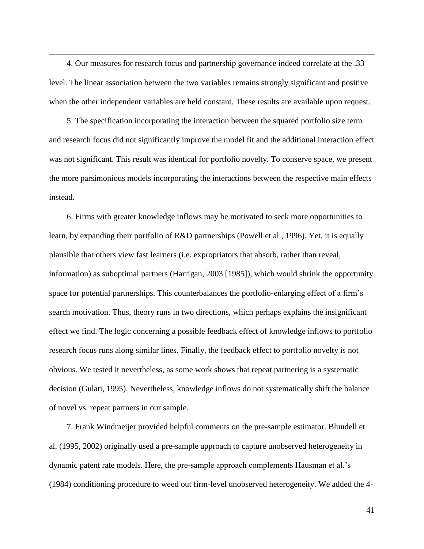4. Our measures for research focus and partnership governance indeed correlate at the .33 level. The linear association between the two variables remains strongly significant and positive when the other independent variables are held constant. These results are available upon request.

-

5. The specification incorporating the interaction between the squared portfolio size term and research focus did not significantly improve the model fit and the additional interaction effect was not significant. This result was identical for portfolio novelty. To conserve space, we present the more parsimonious models incorporating the interactions between the respective main effects instead.

6. Firms with greater knowledge inflows may be motivated to seek more opportunities to learn, by expanding their portfolio of R&D partnerships (Powell et al., 1996). Yet, it is equally plausible that others view fast learners (i.e. expropriators that absorb, rather than reveal, information) as suboptimal partners (Harrigan, 2003 [1985]), which would shrink the opportunity space for potential partnerships. This counterbalances the portfolio-enlarging effect of a firm's search motivation. Thus, theory runs in two directions, which perhaps explains the insignificant effect we find. The logic concerning a possible feedback effect of knowledge inflows to portfolio research focus runs along similar lines. Finally, the feedback effect to portfolio novelty is not obvious. We tested it nevertheless, as some work shows that repeat partnering is a systematic decision (Gulati, 1995). Nevertheless, knowledge inflows do not systematically shift the balance of novel vs. repeat partners in our sample.

7. Frank Windmeijer provided helpful comments on the pre-sample estimator. Blundell et al. (1995, 2002) originally used a pre-sample approach to capture unobserved heterogeneity in dynamic patent rate models. Here, the pre-sample approach complements Hausman et al.'s (1984) conditioning procedure to weed out firm-level unobserved heterogeneity. We added the 4-